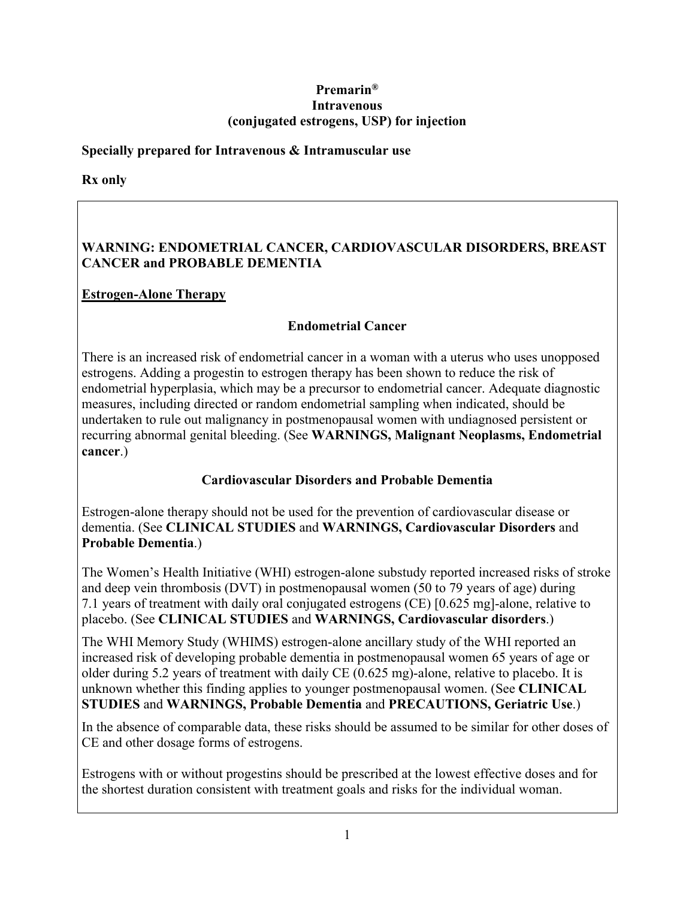### **Premarin® Intravenous (conjugated estrogens, USP) for injection**

## **Specially prepared for Intravenous & Intramuscular use**

**Rx only**

# **WARNING: ENDOMETRIAL CANCER, CARDIOVASCULAR DISORDERS, BREAST CANCER and PROBABLE DEMENTIA**

# **Estrogen-Alone Therapy**

# **Endometrial Cancer**

There is an increased risk of endometrial cancer in a woman with a uterus who uses unopposed estrogens. Adding a progestin to estrogen therapy has been shown to reduce the risk of endometrial hyperplasia, which may be a precursor to endometrial cancer. Adequate diagnostic measures, including directed or random endometrial sampling when indicated, should be undertaken to rule out malignancy in postmenopausal women with undiagnosed persistent or recurring abnormal genital bleeding. (See **WARNINGS, Malignant Neoplasms, Endometrial cancer**.)

# **Cardiovascular Disorders and Probable Dementia**

Estrogen-alone therapy should not be used for the prevention of cardiovascular disease or dementia. (See **CLINICAL STUDIES** and **WARNINGS, Cardiovascular Disorders** and **Probable Dementia**.)

The Women's Health Initiative (WHI) estrogen-alone substudy reported increased risks of stroke and deep vein thrombosis (DVT) in postmenopausal women (50 to 79 years of age) during 7.1 years of treatment with daily oral conjugated estrogens (CE) [0.625 mg]-alone, relative to placebo. (See **CLINICAL STUDIES** and **WARNINGS, Cardiovascular disorders**.)

The WHI Memory Study (WHIMS) estrogen-alone ancillary study of the WHI reported an increased risk of developing probable dementia in postmenopausal women 65 years of age or older during 5.2 years of treatment with daily CE (0.625 mg)-alone, relative to placebo. It is unknown whether this finding applies to younger postmenopausal women. (See **CLINICAL STUDIES** and **WARNINGS, Probable Dementia** and **PRECAUTIONS, Geriatric Use**.)

In the absence of comparable data, these risks should be assumed to be similar for other doses of CE and other dosage forms of estrogens.

Estrogens with or without progestins should be prescribed at the lowest effective doses and for the shortest duration consistent with treatment goals and risks for the individual woman.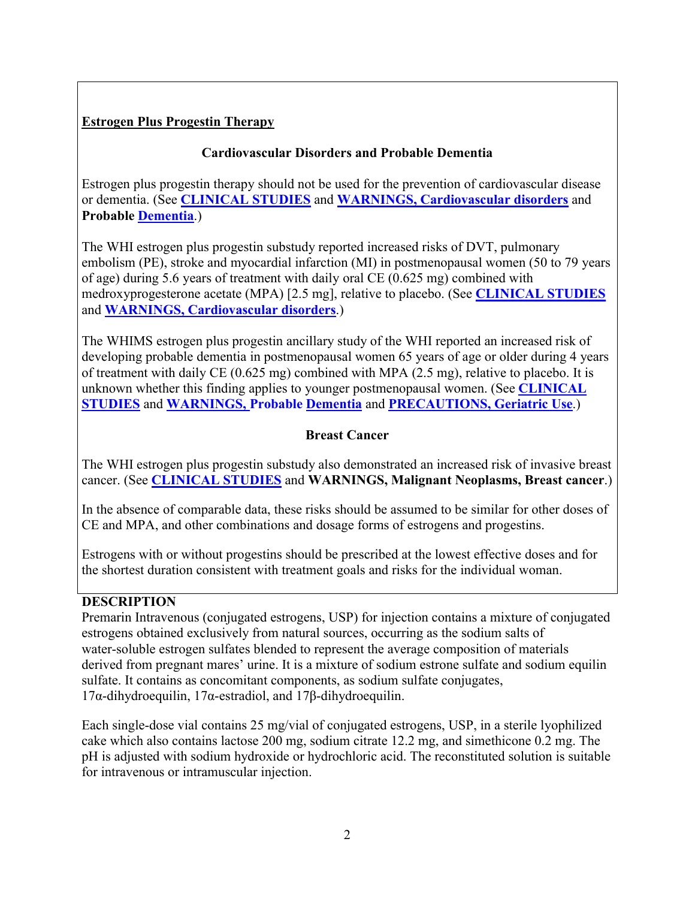# **Estrogen Plus Progestin Therapy**

# **Cardiovascular Disorders and Probable Dementia**

Estrogen plus progestin therapy should not be used for the prevention of cardiovascular disease or dementia. (See **[CLINICAL STUDIES](#page-3-0)** and **[WARNINGS, Cardiovascular disorders](#page-11-0)** and **Probable [Dementia](#page-12-0)**.)

The WHI estrogen plus progestin substudy reported increased risks of DVT, pulmonary embolism (PE), stroke and myocardial infarction (MI) in postmenopausal women (50 to 79 years of age) during 5.6 years of treatment with daily oral CE (0.625 mg) combined with medroxyprogesterone acetate (MPA) [2.5 mg], relative to placebo. (See **[CLINICAL STUDIES](#page-3-0)** and **[WARNINGS, Cardiovascular disorders](#page-11-0)**.)

The WHIMS estrogen plus progestin ancillary study of the WHI reported an increased risk of developing probable dementia in postmenopausal women 65 years of age or older during 4 years of treatment with daily CE (0.625 mg) combined with MPA (2.5 mg), relative to placebo. It is unknown whether this finding applies to younger postmenopausal women. (See **[CLINICAL](#page-3-0)  [STUDIES](#page-3-0)** and **[WARNINGS, Probable](#page-12-0) Dementia** and **PRECAUTIONS, Geriatric Use**.)

## **Breast Cancer**

The WHI estrogen plus progestin substudy also demonstrated an increased risk of invasive breast cancer. (See **[CLINICAL STUDIES](#page-3-0)** and **WARNINGS, Malignant Neoplasms, Breast cancer**.)

In the absence of comparable data, these risks should be assumed to be similar for other doses of CE and MPA, and other combinations and dosage forms of estrogens and progestins.

Estrogens with or without progestins should be prescribed at the lowest effective doses and for the shortest duration consistent with treatment goals and risks for the individual woman.

# **DESCRIPTION**

Premarin Intravenous (conjugated estrogens, USP) for injection contains a mixture of conjugated estrogens obtained exclusively from natural sources, occurring as the sodium salts of water-soluble estrogen sulfates blended to represent the average composition of materials derived from pregnant mares' urine. It is a mixture of sodium estrone sulfate and sodium equilin sulfate. It contains as concomitant components, as sodium sulfate conjugates, 17α-dihydroequilin, 17α-estradiol, and 17β-dihydroequilin.

Each single-dose vial contains 25 mg/vial of conjugated estrogens, USP, in a sterile lyophilized cake which also contains lactose 200 mg, sodium citrate 12.2 mg, and simethicone 0.2 mg. The pH is adjusted with sodium hydroxide or hydrochloric acid. The reconstituted solution is suitable for intravenous or intramuscular injection.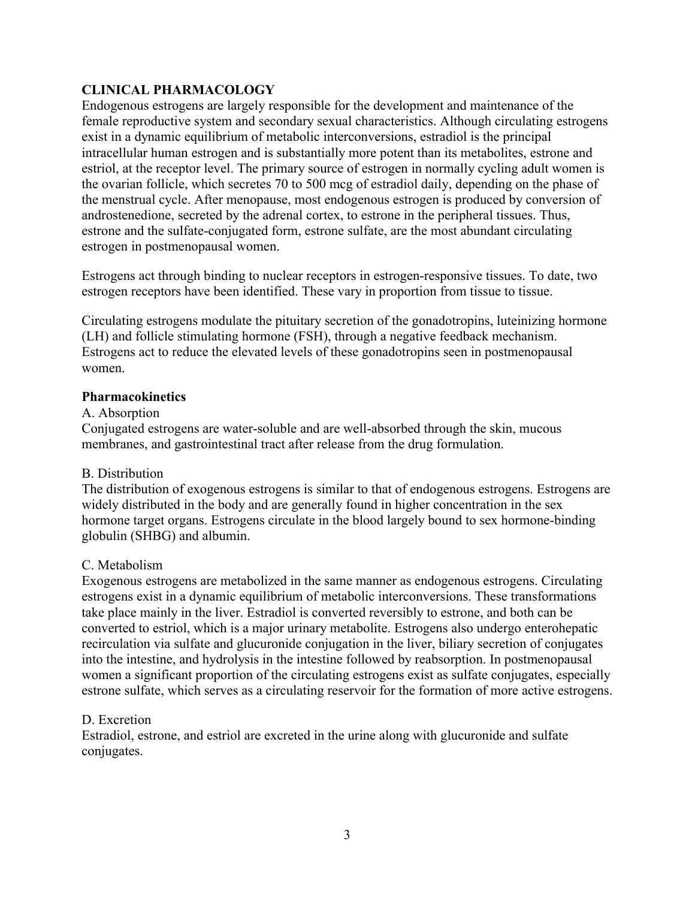## **CLINICAL PHARMACOLOGY**

Endogenous estrogens are largely responsible for the development and maintenance of the female reproductive system and secondary sexual characteristics. Although circulating estrogens exist in a dynamic equilibrium of metabolic interconversions, estradiol is the principal intracellular human estrogen and is substantially more potent than its metabolites, estrone and estriol, at the receptor level. The primary source of estrogen in normally cycling adult women is the ovarian follicle, which secretes 70 to 500 mcg of estradiol daily, depending on the phase of the menstrual cycle. After menopause, most endogenous estrogen is produced by conversion of androstenedione, secreted by the adrenal cortex, to estrone in the peripheral tissues. Thus, estrone and the sulfate-conjugated form, estrone sulfate, are the most abundant circulating estrogen in postmenopausal women.

Estrogens act through binding to nuclear receptors in estrogen-responsive tissues. To date, two estrogen receptors have been identified. These vary in proportion from tissue to tissue.

Circulating estrogens modulate the pituitary secretion of the gonadotropins, luteinizing hormone (LH) and follicle stimulating hormone (FSH), through a negative feedback mechanism. Estrogens act to reduce the elevated levels of these gonadotropins seen in postmenopausal women.

#### **Pharmacokinetics**

#### A. Absorption

Conjugated estrogens are water-soluble and are well-absorbed through the skin, mucous membranes, and gastrointestinal tract after release from the drug formulation.

#### B. Distribution

The distribution of exogenous estrogens is similar to that of endogenous estrogens. Estrogens are widely distributed in the body and are generally found in higher concentration in the sex hormone target organs. Estrogens circulate in the blood largely bound to sex hormone-binding globulin (SHBG) and albumin.

## C. Metabolism

Exogenous estrogens are metabolized in the same manner as endogenous estrogens. Circulating estrogens exist in a dynamic equilibrium of metabolic interconversions. These transformations take place mainly in the liver. Estradiol is converted reversibly to estrone, and both can be converted to estriol, which is a major urinary metabolite. Estrogens also undergo enterohepatic recirculation via sulfate and glucuronide conjugation in the liver, biliary secretion of conjugates into the intestine, and hydrolysis in the intestine followed by reabsorption. In postmenopausal women a significant proportion of the circulating estrogens exist as sulfate conjugates, especially estrone sulfate, which serves as a circulating reservoir for the formation of more active estrogens.

#### D. Excretion

Estradiol, estrone, and estriol are excreted in the urine along with glucuronide and sulfate conjugates.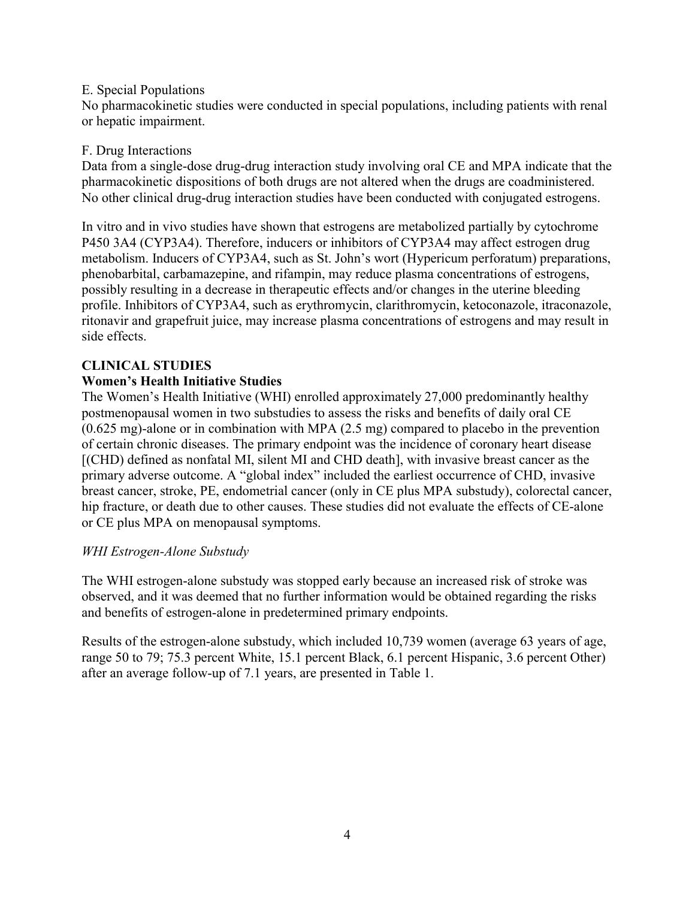#### E. Special Populations

No pharmacokinetic studies were conducted in special populations, including patients with renal or hepatic impairment.

## F. Drug Interactions

Data from a single-dose drug-drug interaction study involving oral CE and MPA indicate that the pharmacokinetic dispositions of both drugs are not altered when the drugs are coadministered. No other clinical drug-drug interaction studies have been conducted with conjugated estrogens.

In vitro and in vivo studies have shown that estrogens are metabolized partially by cytochrome P450 3A4 (CYP3A4). Therefore, inducers or inhibitors of CYP3A4 may affect estrogen drug metabolism. Inducers of CYP3A4, such as St. John's wort (Hypericum perforatum) preparations, phenobarbital, carbamazepine, and rifampin, may reduce plasma concentrations of estrogens, possibly resulting in a decrease in therapeutic effects and/or changes in the uterine bleeding profile. Inhibitors of CYP3A4, such as erythromycin, clarithromycin, ketoconazole, itraconazole, ritonavir and grapefruit juice, may increase plasma concentrations of estrogens and may result in side effects.

# <span id="page-3-0"></span>**CLINICAL STUDIES**

# **Women's Health Initiative Studies**

The Women's Health Initiative (WHI) enrolled approximately 27,000 predominantly healthy postmenopausal women in two substudies to assess the risks and benefits of daily oral CE (0.625 mg)-alone or in combination with MPA (2.5 mg) compared to placebo in the prevention of certain chronic diseases. The primary endpoint was the incidence of coronary heart disease [(CHD) defined as nonfatal MI, silent MI and CHD death], with invasive breast cancer as the primary adverse outcome. A "global index" included the earliest occurrence of CHD, invasive breast cancer, stroke, PE, endometrial cancer (only in CE plus MPA substudy), colorectal cancer, hip fracture, or death due to other causes. These studies did not evaluate the effects of CE-alone or CE plus MPA on menopausal symptoms.

## *WHI Estrogen-Alone Substudy*

The WHI estrogen-alone substudy was stopped early because an increased risk of stroke was observed, and it was deemed that no further information would be obtained regarding the risks and benefits of estrogen-alone in predetermined primary endpoints.

Results of the estrogen-alone substudy, which included 10,739 women (average 63 years of age, range 50 to 79; 75.3 percent White, 15.1 percent Black, 6.1 percent Hispanic, 3.6 percent Other) after an average follow-up of 7.1 years, are presented in Table 1.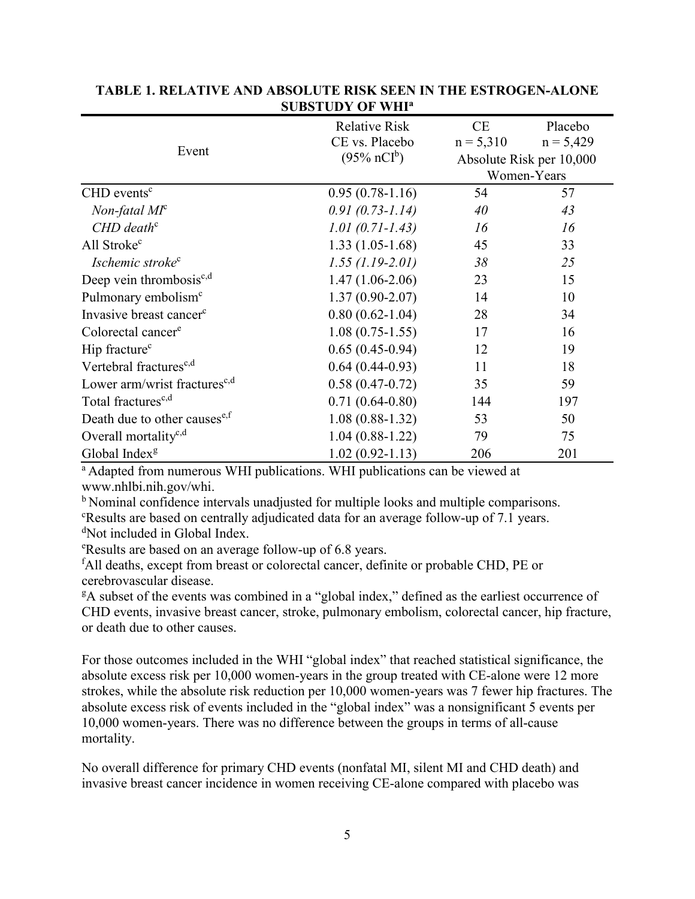| Event                                     | <b>Relative Risk</b>            | CE                       | Placebo     |
|-------------------------------------------|---------------------------------|--------------------------|-------------|
|                                           | CE vs. Placebo                  | $n = 5,310$              | $n = 5,429$ |
|                                           | $(95\% \text{ nCI}^{\text{b}})$ | Absolute Risk per 10,000 |             |
|                                           |                                 | Women-Years              |             |
| $CHD$ events <sup>c</sup>                 | $0.95(0.78-1.16)$               | 54                       | 57          |
| $Non-fatal\,Mf^c$                         | $0.91(0.73 - 1.14)$             | 40                       | 43          |
| $CHD$ death <sup>c</sup>                  | $1.01(0.71 - 1.43)$             | 16                       | 16          |
| All Stroke <sup>c</sup>                   | $1.33(1.05-1.68)$               | 45                       | 33          |
| Ischemic stroke <sup>c</sup>              | $1.55(1.19-2.01)$               | 38                       | 25          |
| Deep vein thrombosis $c,d$                | $1.47(1.06-2.06)$               | 23                       | 15          |
| Pulmonary embolism <sup>c</sup>           | $1.37(0.90 - 2.07)$             | 14                       | 10          |
| Invasive breast cancer <sup>c</sup>       | $0.80(0.62-1.04)$               | 28                       | 34          |
| Colorectal cancer <sup>e</sup>            | $1.08(0.75-1.55)$               | 17                       | 16          |
| Hip fracture <sup>c</sup>                 | $0.65(0.45-0.94)$               | 12                       | 19          |
| Vertebral fractures <sup>c,d</sup>        | $0.64(0.44-0.93)$               | 11                       | 18          |
| Lower arm/wrist fractures <sup>c,d</sup>  | $0.58(0.47-0.72)$               | 35                       | 59          |
| Total fractures <sup>c,d</sup>            | $0.71(0.64-0.80)$               | 144                      | 197         |
| Death due to other causes <sup>e, f</sup> | $1.08(0.88-1.32)$               | 53                       | 50          |
| Overall mortality <sup>c,d</sup>          | $1.04(0.88-1.22)$               | 79                       | 75          |
| Global Index <sup>g</sup>                 | $1.02(0.92 - 1.13)$             | 206                      | 201         |

#### **TABLE 1. RELATIVE AND ABSOLUTE RISK SEEN IN THE ESTROGEN-ALONE SUBSTUDY OF WHI<sup>a</sup>**

<sup>a</sup> Adapted from numerous WHI publications. WHI publications can be viewed at www.nhlbi.nih.gov/whi.

<sup>b</sup> Nominal confidence intervals unadjusted for multiple looks and multiple comparisons. <sup>c</sup>Results are based on centrally adjudicated data for an average follow-up of 7.1 years.

<sup>d</sup>Not included in Global Index.

<sup>e</sup>Results are based on an average follow-up of 6.8 years.

<sup>f</sup>All deaths, except from breast or colorectal cancer, definite or probable CHD, PE or cerebrovascular disease.

<sup>g</sup>A subset of the events was combined in a "global index," defined as the earliest occurrence of CHD events, invasive breast cancer, stroke, pulmonary embolism, colorectal cancer, hip fracture, or death due to other causes.

For those outcomes included in the WHI "global index" that reached statistical significance, the absolute excess risk per 10,000 women-years in the group treated with CE-alone were 12 more strokes, while the absolute risk reduction per 10,000 women-years was 7 fewer hip fractures. The absolute excess risk of events included in the "global index" was a nonsignificant 5 events per 10,000 women-years. There was no difference between the groups in terms of all-cause mortality.

No overall difference for primary CHD events (nonfatal MI, silent MI and CHD death) and invasive breast cancer incidence in women receiving CE-alone compared with placebo was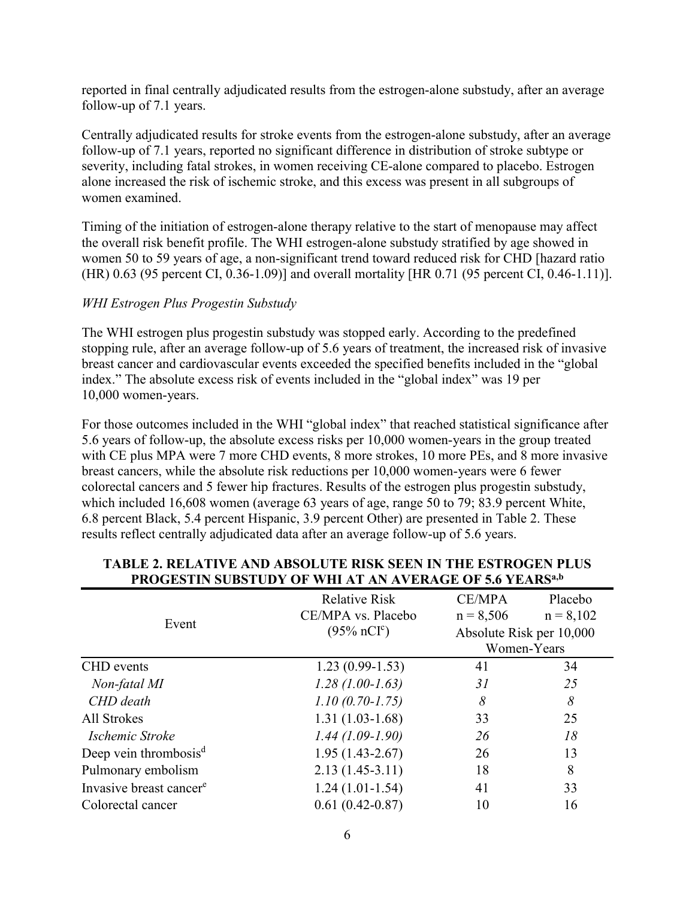reported in final centrally adjudicated results from the estrogen-alone substudy, after an average follow-up of 7.1 years.

Centrally adjudicated results for stroke events from the estrogen-alone substudy, after an average follow-up of 7.1 years, reported no significant difference in distribution of stroke subtype or severity, including fatal strokes, in women receiving CE-alone compared to placebo. Estrogen alone increased the risk of ischemic stroke, and this excess was present in all subgroups of women examined.

Timing of the initiation of estrogen-alone therapy relative to the start of menopause may affect the overall risk benefit profile. The WHI estrogen-alone substudy stratified by age showed in women 50 to 59 years of age, a non-significant trend toward reduced risk for CHD [hazard ratio (HR) 0.63 (95 percent CI, 0.36-1.09)] and overall mortality [HR 0.71 (95 percent CI, 0.46-1.11)].

#### *WHI Estrogen Plus Progestin Substudy*

The WHI estrogen plus progestin substudy was stopped early. According to the predefined stopping rule, after an average follow-up of 5.6 years of treatment, the increased risk of invasive breast cancer and cardiovascular events exceeded the specified benefits included in the "global index." The absolute excess risk of events included in the "global index" was 19 per 10,000 women-years.

For those outcomes included in the WHI "global index" that reached statistical significance after 5.6 years of follow-up, the absolute excess risks per 10,000 women-years in the group treated with CE plus MPA were 7 more CHD events, 8 more strokes, 10 more PEs, and 8 more invasive breast cancers, while the absolute risk reductions per 10,000 women-years were 6 fewer colorectal cancers and 5 fewer hip fractures. Results of the estrogen plus progestin substudy, which included 16,608 women (average 63 years of age, range 50 to 79; 83.9 percent White, 6.8 percent Black, 5.4 percent Hispanic, 3.9 percent Other) are presented in Table 2. These results reflect centrally adjudicated data after an average follow-up of 5.6 years.

| Event                               | <b>Relative Risk</b><br>CE/MPA vs. Placebo | <b>CE/MPA</b><br>$n = 8,506$            | Placebo<br>$n = 8,102$ |
|-------------------------------------|--------------------------------------------|-----------------------------------------|------------------------|
|                                     | $(95\% \text{ nCI}^c)$                     | Absolute Risk per 10,000<br>Women-Years |                        |
| CHD events                          | $1.23(0.99-1.53)$                          | 41                                      | 34                     |
| Non-fatal MI                        | $1.28(1.00-1.63)$                          | 31                                      | 25                     |
| CHD death                           | $1.10(0.70-1.75)$                          | 8                                       | 8                      |
| All Strokes                         | $1.31(1.03-1.68)$                          | 33                                      | 25                     |
| Ischemic Stroke                     | $1.44(1.09-1.90)$                          | 26                                      | 18                     |
| Deep vein thrombosis <sup>d</sup>   | $1.95(1.43-2.67)$                          | 26                                      | 13                     |
| Pulmonary embolism                  | $2.13(1.45-3.11)$                          | 18                                      | 8                      |
| Invasive breast cancer <sup>e</sup> | $1.24(1.01-1.54)$                          | 41                                      | 33                     |
| Colorectal cancer                   | $0.61(0.42 - 0.87)$                        | 10                                      | 16                     |

#### **TABLE 2. RELATIVE AND ABSOLUTE RISK SEEN IN THE ESTROGEN PLUS PROGESTIN SUBSTUDY OF WHI AT AN AVERAGE OF 5.6 YEARSa,b**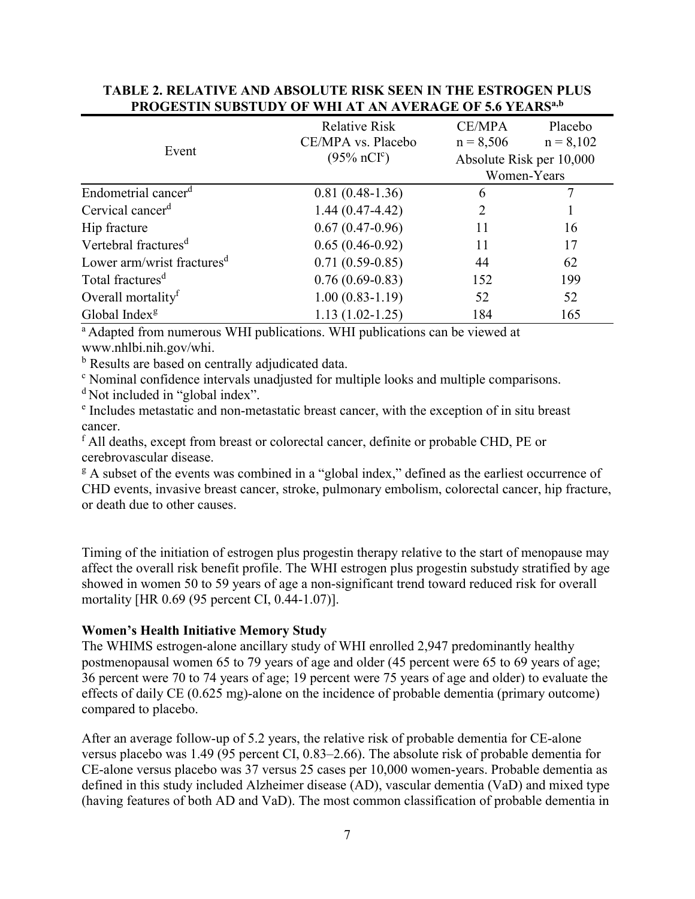| Event                                  | <b>Relative Risk</b><br>CE/MPA vs. Placebo | <b>CE/MPA</b><br>$n = 8,506$            | Placebo<br>$n = 8,102$ |
|----------------------------------------|--------------------------------------------|-----------------------------------------|------------------------|
|                                        | $(95\% \text{ nCI}^{\text{c}})$            | Absolute Risk per 10,000<br>Women-Years |                        |
| Endometrial cancer <sup>d</sup>        | $0.81(0.48-1.36)$                          | 6                                       |                        |
| Cervical cancer <sup>d</sup>           | $1.44(0.47-4.42)$                          | 2                                       |                        |
| Hip fracture                           | $0.67(0.47-0.96)$                          | 11                                      | 16                     |
| Vertebral fractures <sup>d</sup>       | $0.65(0.46-0.92)$                          | 11                                      | 17                     |
| Lower arm/wrist fractures <sup>d</sup> | $0.71(0.59-0.85)$                          | 44                                      | 62                     |
| Total fractures <sup>d</sup>           | $0.76(0.69-0.83)$                          | 152                                     | 199                    |
| Overall mortality <sup>f</sup>         | $1.00(0.83-1.19)$                          | 52                                      | 52                     |
| Global Index <sup>g</sup>              | $1.13(1.02 - 1.25)$                        | 184                                     | 165                    |

#### **TABLE 2. RELATIVE AND ABSOLUTE RISK SEEN IN THE ESTROGEN PLUS PROGESTIN SUBSTUDY OF WHI AT AN AVERAGE OF 5.6 YEARSa,b**

<sup>a</sup> Adapted from numerous WHI publications. WHI publications can be viewed at www.nhlbi.nih.gov/whi.

<sup>b</sup> Results are based on centrally adjudicated data.

<sup>c</sup> Nominal confidence intervals unadjusted for multiple looks and multiple comparisons.

<sup>d</sup>Not included in "global index".

e Includes metastatic and non-metastatic breast cancer, with the exception of in situ breast cancer.

<sup>f</sup> All deaths, except from breast or colorectal cancer, definite or probable CHD, PE or cerebrovascular disease.

<sup>g</sup> A subset of the events was combined in a "global index," defined as the earliest occurrence of CHD events, invasive breast cancer, stroke, pulmonary embolism, colorectal cancer, hip fracture, or death due to other causes.

Timing of the initiation of estrogen plus progestin therapy relative to the start of menopause may affect the overall risk benefit profile. The WHI estrogen plus progestin substudy stratified by age showed in women 50 to 59 years of age a non-significant trend toward reduced risk for overall mortality [HR 0.69 (95 percent CI, 0.44-1.07)].

#### **Women's Health Initiative Memory Study**

The WHIMS estrogen-alone ancillary study of WHI enrolled 2,947 predominantly healthy postmenopausal women 65 to 79 years of age and older (45 percent were 65 to 69 years of age; 36 percent were 70 to 74 years of age; 19 percent were 75 years of age and older) to evaluate the effects of daily CE (0.625 mg)-alone on the incidence of probable dementia (primary outcome) compared to placebo.

After an average follow-up of 5.2 years, the relative risk of probable dementia for CE-alone versus placebo was 1.49 (95 percent CI, 0.83–2.66). The absolute risk of probable dementia for CE-alone versus placebo was 37 versus 25 cases per 10,000 women-years. Probable dementia as defined in this study included Alzheimer disease (AD), vascular dementia (VaD) and mixed type (having features of both AD and VaD). The most common classification of probable dementia in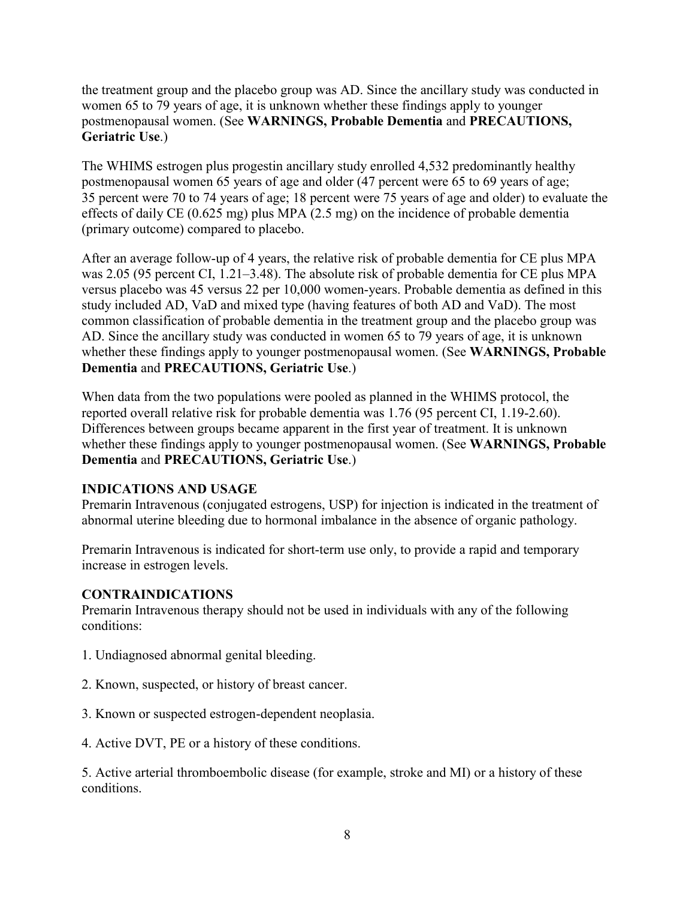the treatment group and the placebo group was AD. Since the ancillary study was conducted in women 65 to 79 years of age, it is unknown whether these findings apply to younger postmenopausal women. (See **WARNINGS, Probable Dementia** and **PRECAUTIONS, Geriatric Use**.)

The WHIMS estrogen plus progestin ancillary study enrolled 4,532 predominantly healthy postmenopausal women 65 years of age and older (47 percent were 65 to 69 years of age; 35 percent were 70 to 74 years of age; 18 percent were 75 years of age and older) to evaluate the effects of daily CE (0.625 mg) plus MPA (2.5 mg) on the incidence of probable dementia (primary outcome) compared to placebo.

After an average follow-up of 4 years, the relative risk of probable dementia for CE plus MPA was 2.05 (95 percent CI, 1.21–3.48). The absolute risk of probable dementia for CE plus MPA versus placebo was 45 versus 22 per 10,000 women-years. Probable dementia as defined in this study included AD, VaD and mixed type (having features of both AD and VaD). The most common classification of probable dementia in the treatment group and the placebo group was AD. Since the ancillary study was conducted in women 65 to 79 years of age, it is unknown whether these findings apply to younger postmenopausal women. (See **WARNINGS, Probable Dementia** and **PRECAUTIONS, Geriatric Use**.)

When data from the two populations were pooled as planned in the WHIMS protocol, the reported overall relative risk for probable dementia was 1.76 (95 percent CI, 1.19-2.60). Differences between groups became apparent in the first year of treatment. It is unknown whether these findings apply to younger postmenopausal women. (See **WARNINGS, Probable Dementia** and **PRECAUTIONS, Geriatric Use**.)

#### **INDICATIONS AND USAGE**

Premarin Intravenous (conjugated estrogens, USP) for injection is indicated in the treatment of abnormal uterine bleeding due to hormonal imbalance in the absence of organic pathology.

Premarin Intravenous is indicated for short-term use only, to provide a rapid and temporary increase in estrogen levels.

## **CONTRAINDICATIONS**

Premarin Intravenous therapy should not be used in individuals with any of the following conditions:

- 1. Undiagnosed abnormal genital bleeding.
- 2. Known, suspected, or history of breast cancer.
- 3. Known or suspected estrogen-dependent neoplasia.
- 4. Active DVT, PE or a history of these conditions.

5. Active arterial thromboembolic disease (for example, stroke and MI) or a history of these conditions.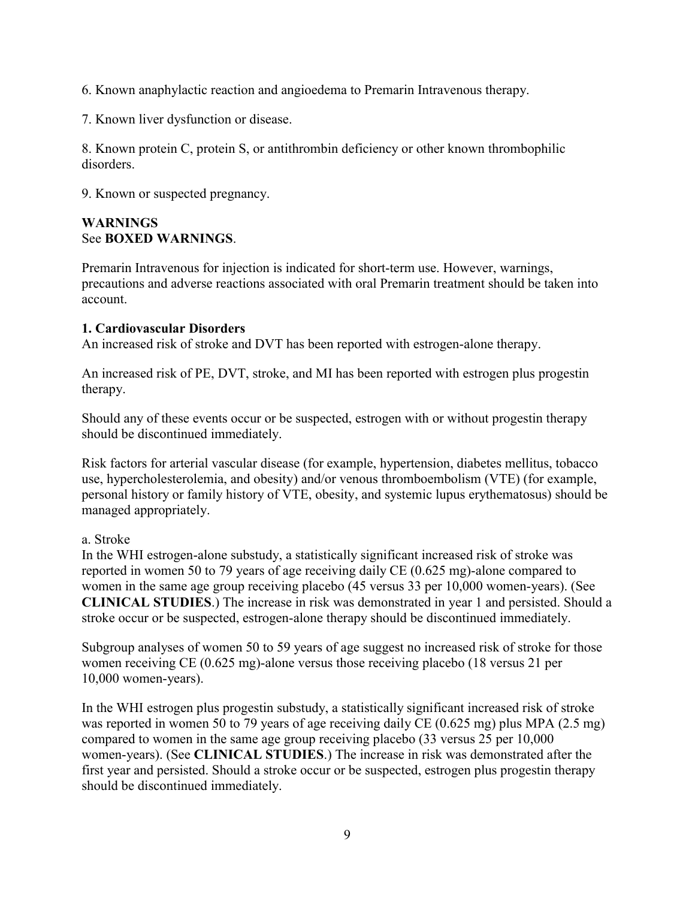6. Known anaphylactic reaction and angioedema to Premarin Intravenous therapy.

7. Known liver dysfunction or disease.

8. Known protein C, protein S, or antithrombin deficiency or other known thrombophilic disorders.

9. Known or suspected pregnancy.

#### **WARNINGS**  See **BOXED WARNINGS**.

Premarin Intravenous for injection is indicated for short-term use. However, warnings, precautions and adverse reactions associated with oral Premarin treatment should be taken into account.

#### **1. Cardiovascular Disorders**

An increased risk of stroke and DVT has been reported with estrogen-alone therapy.

An increased risk of PE, DVT, stroke, and MI has been reported with estrogen plus progestin therapy.

Should any of these events occur or be suspected, estrogen with or without progestin therapy should be discontinued immediately.

Risk factors for arterial vascular disease (for example, hypertension, diabetes mellitus, tobacco use, hypercholesterolemia, and obesity) and/or venous thromboembolism (VTE) (for example, personal history or family history of VTE, obesity, and systemic lupus erythematosus) should be managed appropriately.

#### a. Stroke

In the WHI estrogen-alone substudy, a statistically significant increased risk of stroke was reported in women 50 to 79 years of age receiving daily CE (0.625 mg)-alone compared to women in the same age group receiving placebo (45 versus 33 per 10,000 women-years). (See **CLINICAL STUDIES**.) The increase in risk was demonstrated in year 1 and persisted. Should a stroke occur or be suspected, estrogen-alone therapy should be discontinued immediately.

Subgroup analyses of women 50 to 59 years of age suggest no increased risk of stroke for those women receiving CE (0.625 mg)-alone versus those receiving placebo (18 versus 21 per 10,000 women-years).

In the WHI estrogen plus progestin substudy, a statistically significant increased risk of stroke was reported in women 50 to 79 years of age receiving daily CE (0.625 mg) plus MPA (2.5 mg) compared to women in the same age group receiving placebo (33 versus 25 per 10,000 women-years). (See **CLINICAL STUDIES**.) The increase in risk was demonstrated after the first year and persisted. Should a stroke occur or be suspected, estrogen plus progestin therapy should be discontinued immediately.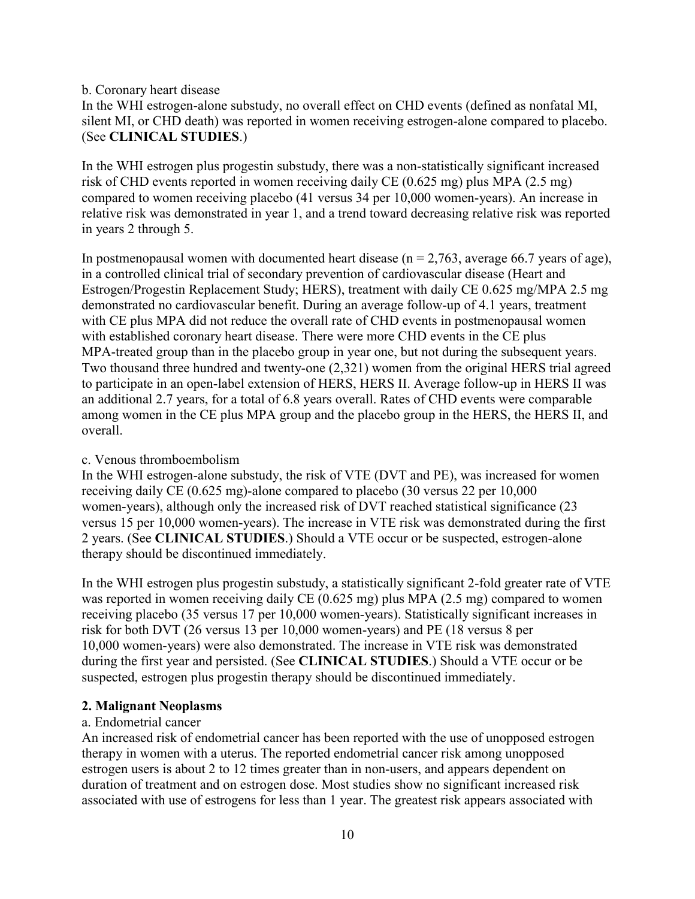#### b. Coronary heart disease

In the WHI estrogen-alone substudy, no overall effect on CHD events (defined as nonfatal MI, silent MI, or CHD death) was reported in women receiving estrogen-alone compared to placebo. (See **CLINICAL STUDIES**.)

In the WHI estrogen plus progestin substudy, there was a non-statistically significant increased risk of CHD events reported in women receiving daily CE (0.625 mg) plus MPA (2.5 mg) compared to women receiving placebo (41 versus 34 per 10,000 women-years). An increase in relative risk was demonstrated in year 1, and a trend toward decreasing relative risk was reported in years 2 through 5.

In postmenopausal women with documented heart disease ( $n = 2,763$ , average 66.7 years of age), in a controlled clinical trial of secondary prevention of cardiovascular disease (Heart and Estrogen/Progestin Replacement Study; HERS), treatment with daily CE 0.625 mg/MPA 2.5 mg demonstrated no cardiovascular benefit. During an average follow-up of 4.1 years, treatment with CE plus MPA did not reduce the overall rate of CHD events in postmenopausal women with established coronary heart disease. There were more CHD events in the CE plus MPA-treated group than in the placebo group in year one, but not during the subsequent years. Two thousand three hundred and twenty-one (2,321) women from the original HERS trial agreed to participate in an open-label extension of HERS, HERS II. Average follow-up in HERS II was an additional 2.7 years, for a total of 6.8 years overall. Rates of CHD events were comparable among women in the CE plus MPA group and the placebo group in the HERS, the HERS II, and overall.

#### c. Venous thromboembolism

In the WHI estrogen-alone substudy, the risk of VTE (DVT and PE), was increased for women receiving daily CE (0.625 mg)-alone compared to placebo (30 versus 22 per 10,000 women-years), although only the increased risk of DVT reached statistical significance (23 versus 15 per 10,000 women-years). The increase in VTE risk was demonstrated during the first 2 years. (See **CLINICAL STUDIES**.) Should a VTE occur or be suspected, estrogen-alone therapy should be discontinued immediately.

In the WHI estrogen plus progestin substudy, a statistically significant 2-fold greater rate of VTE was reported in women receiving daily CE (0.625 mg) plus MPA (2.5 mg) compared to women receiving placebo (35 versus 17 per 10,000 women-years). Statistically significant increases in risk for both DVT (26 versus 13 per 10,000 women-years) and PE (18 versus 8 per 10,000 women-years) were also demonstrated. The increase in VTE risk was demonstrated during the first year and persisted. (See **CLINICAL STUDIES**.) Should a VTE occur or be suspected, estrogen plus progestin therapy should be discontinued immediately.

#### **2. Malignant Neoplasms**

#### a. Endometrial cancer

An increased risk of endometrial cancer has been reported with the use of unopposed estrogen therapy in women with a uterus. The reported endometrial cancer risk among unopposed estrogen users is about 2 to 12 times greater than in non-users, and appears dependent on duration of treatment and on estrogen dose. Most studies show no significant increased risk associated with use of estrogens for less than 1 year. The greatest risk appears associated with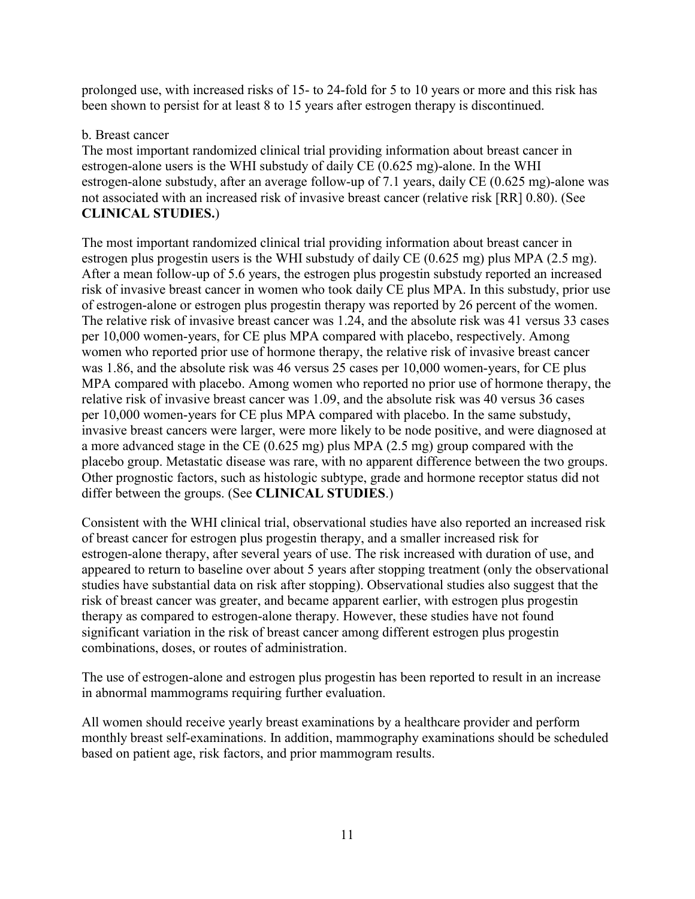prolonged use, with increased risks of 15- to 24-fold for 5 to 10 years or more and this risk has been shown to persist for at least 8 to 15 years after estrogen therapy is discontinued.

### b. Breast cancer

The most important randomized clinical trial providing information about breast cancer in estrogen-alone users is the WHI substudy of daily CE (0.625 mg)-alone. In the WHI estrogen-alone substudy, after an average follow-up of 7.1 years, daily CE (0.625 mg)-alone was not associated with an increased risk of invasive breast cancer (relative risk [RR] 0.80). (See **CLINICAL STUDIES.**)

The most important randomized clinical trial providing information about breast cancer in estrogen plus progestin users is the WHI substudy of daily CE (0.625 mg) plus MPA (2.5 mg). After a mean follow-up of 5.6 years, the estrogen plus progestin substudy reported an increased risk of invasive breast cancer in women who took daily CE plus MPA. In this substudy, prior use of estrogen-alone or estrogen plus progestin therapy was reported by 26 percent of the women. The relative risk of invasive breast cancer was 1.24, and the absolute risk was 41 versus 33 cases per 10,000 women-years, for CE plus MPA compared with placebo, respectively. Among women who reported prior use of hormone therapy, the relative risk of invasive breast cancer was 1.86, and the absolute risk was 46 versus 25 cases per 10,000 women-years, for CE plus MPA compared with placebo. Among women who reported no prior use of hormone therapy, the relative risk of invasive breast cancer was 1.09, and the absolute risk was 40 versus 36 cases per 10,000 women-years for CE plus MPA compared with placebo. In the same substudy, invasive breast cancers were larger, were more likely to be node positive, and were diagnosed at a more advanced stage in the CE (0.625 mg) plus MPA (2.5 mg) group compared with the placebo group. Metastatic disease was rare, with no apparent difference between the two groups. Other prognostic factors, such as histologic subtype, grade and hormone receptor status did not differ between the groups. (See **CLINICAL STUDIES**.)

Consistent with the WHI clinical trial, observational studies have also reported an increased risk of breast cancer for estrogen plus progestin therapy, and a smaller increased risk for estrogen-alone therapy, after several years of use. The risk increased with duration of use, and appeared to return to baseline over about 5 years after stopping treatment (only the observational studies have substantial data on risk after stopping). Observational studies also suggest that the risk of breast cancer was greater, and became apparent earlier, with estrogen plus progestin therapy as compared to estrogen-alone therapy. However, these studies have not found significant variation in the risk of breast cancer among different estrogen plus progestin combinations, doses, or routes of administration.

The use of estrogen-alone and estrogen plus progestin has been reported to result in an increase in abnormal mammograms requiring further evaluation.

All women should receive yearly breast examinations by a healthcare provider and perform monthly breast self-examinations. In addition, mammography examinations should be scheduled based on patient age, risk factors, and prior mammogram results.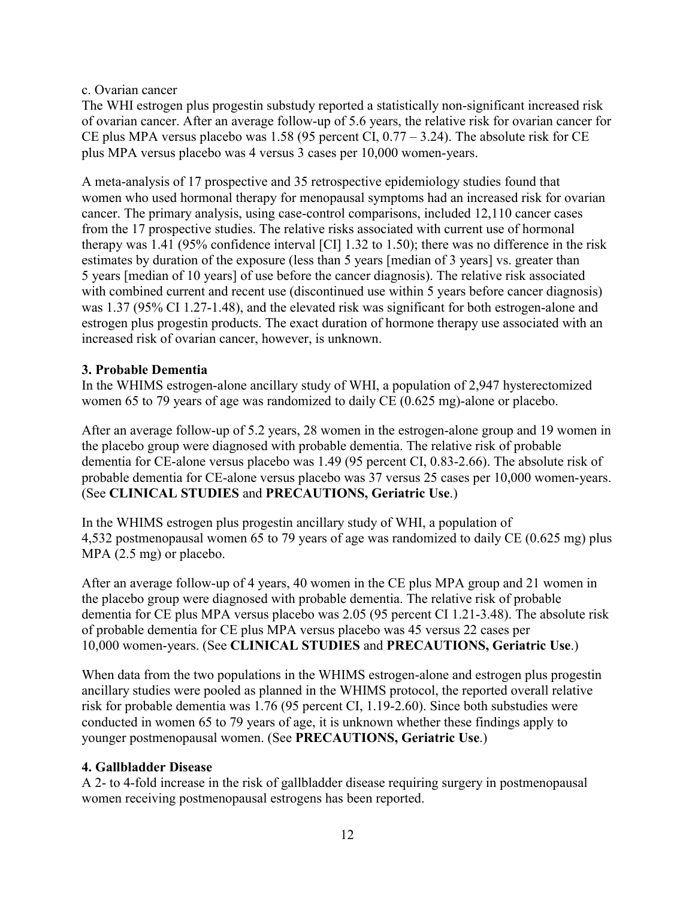#### c. Ovarian cancer

The WHI estrogen plus progestin substudy reported a statistically non-significant increased risk of ovarian cancer. After an average follow-up of 5.6 years, the relative risk for ovarian cancer for CE plus MPA versus placebo was 1.58 (95 percent CI,  $0.77 - 3.24$ ). The absolute risk for CE plus MPA versus placebo was 4 versus 3 cases per 10,000 women-years.

A meta-analysis of 17 prospective and 35 retrospective epidemiology studies found that women who used hormonal therapy for menopausal symptoms had an increased risk for ovarian cancer. The primary analysis, using case-control comparisons, included 12,110 cancer cases from the 17 prospective studies. The relative risks associated with current use of hormonal therapy was 1.41 (95% confidence interval [CI] 1.32 to 1.50); there was no difference in the risk estimates by duration of the exposure (less than 5 years [median of 3 years] vs. greater than 5 years [median of 10 years] of use before the cancer diagnosis). The relative risk associated with combined current and recent use (discontinued use within 5 years before cancer diagnosis) was 1.37 (95% CI 1.27-1.48), and the elevated risk was significant for both estrogen-alone and estrogen plus progestin products. The exact duration of hormone therapy use associated with an increased risk of ovarian cancer, however, is unknown.

#### **3. Probable Dementia**

In the WHIMS estrogen-alone ancillary study of WHI, a population of 2,947 hysterectomized women 65 to 79 years of age was randomized to daily CE (0.625 mg)-alone or placebo.

After an average follow-up of 5.2 years, 28 women in the estrogen-alone group and 19 women in the placebo group were diagnosed with probable dementia. The relative risk of probable dementia for CE-alone versus placebo was 1.49 (95 percent CI, 0.83-2.66). The absolute risk of probable dementia for CE-alone versus placebo was 37 versus 25 cases per 10,000 women-years. (See **CLINICAL STUDIES** and **PRECAUTIONS, Geriatric Use**.)

In the WHIMS estrogen plus progestin ancillary study of WHI, a population of 4,532 postmenopausal women 65 to 79 years of age was randomized to daily CE (0.625 mg) plus MPA (2.5 mg) or placebo.

After an average follow-up of 4 years, 40 women in the CE plus MPA group and 21 women in the placebo group were diagnosed with probable dementia. The relative risk of probable dementia for CE plus MPA versus placebo was 2.05 (95 percent CI 1.21-3.48). The absolute risk of probable dementia for CE plus MPA versus placebo was 45 versus 22 cases per 10,000 women-years. (See **CLINICAL STUDIES** and **PRECAUTIONS, Geriatric Use**.)

When data from the two populations in the WHIMS estrogen-alone and estrogen plus progestin ancillary studies were pooled as planned in the WHIMS protocol, the reported overall relative risk for probable dementia was 1.76 (95 percent CI, 1.19-2.60). Since both substudies were conducted in women 65 to 79 years of age, it is unknown whether these findings apply to younger postmenopausal women. (See **PRECAUTIONS, Geriatric Use**.)

## <span id="page-11-0"></span>**4. Gallbladder Disease**

A 2- to 4-fold increase in the risk of gallbladder disease requiring surgery in postmenopausal women receiving postmenopausal estrogens has been reported.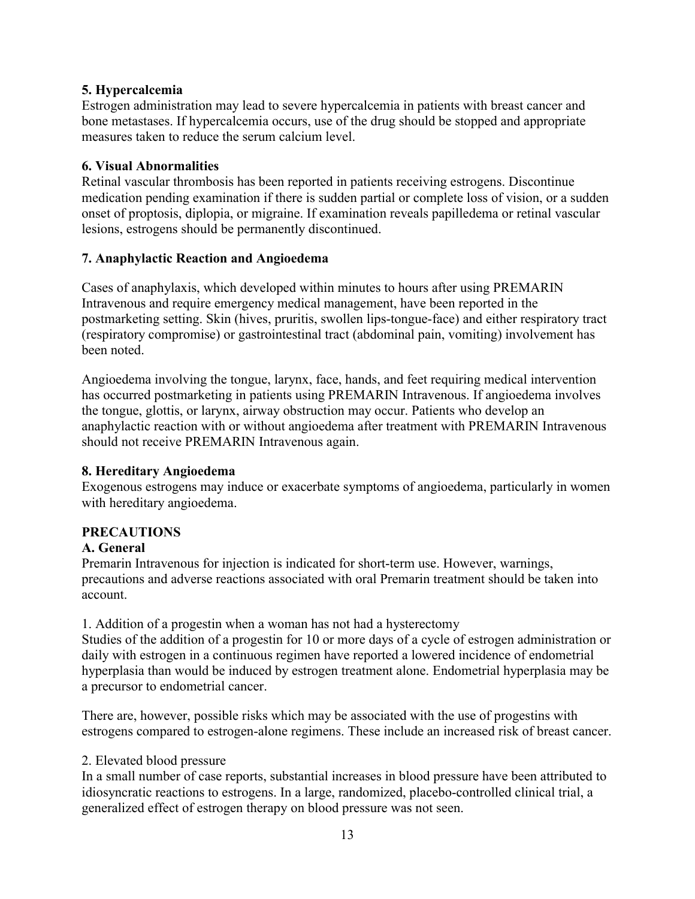## **5. Hypercalcemia**

Estrogen administration may lead to severe hypercalcemia in patients with breast cancer and bone metastases. If hypercalcemia occurs, use of the drug should be stopped and appropriate measures taken to reduce the serum calcium level.

### **6. Visual Abnormalities**

Retinal vascular thrombosis has been reported in patients receiving estrogens. Discontinue medication pending examination if there is sudden partial or complete loss of vision, or a sudden onset of proptosis, diplopia, or migraine. If examination reveals papilledema or retinal vascular lesions, estrogens should be permanently discontinued.

### **7. Anaphylactic Reaction and Angioedema**

Cases of anaphylaxis, which developed within minutes to hours after using PREMARIN Intravenous and require emergency medical management, have been reported in the postmarketing setting. Skin (hives, pruritis, swollen lips-tongue-face) and either respiratory tract (respiratory compromise) or gastrointestinal tract (abdominal pain, vomiting) involvement has been noted.

Angioedema involving the tongue, larynx, face, hands, and feet requiring medical intervention has occurred postmarketing in patients using PREMARIN Intravenous. If angioedema involves the tongue, glottis, or larynx, airway obstruction may occur. Patients who develop an anaphylactic reaction with or without angioedema after treatment with PREMARIN Intravenous should not receive PREMARIN Intravenous again.

#### **8. Hereditary Angioedema**

Exogenous estrogens may induce or exacerbate symptoms of angioedema, particularly in women with hereditary angioedema.

#### **PRECAUTIONS**

#### **A. General**

Premarin Intravenous for injection is indicated for short-term use. However, warnings, precautions and adverse reactions associated with oral Premarin treatment should be taken into account.

1. Addition of a progestin when a woman has not had a hysterectomy

Studies of the addition of a progestin for 10 or more days of a cycle of estrogen administration or daily with estrogen in a continuous regimen have reported a lowered incidence of endometrial hyperplasia than would be induced by estrogen treatment alone. Endometrial hyperplasia may be a precursor to endometrial cancer.

There are, however, possible risks which may be associated with the use of progestins with estrogens compared to estrogen-alone regimens. These include an increased risk of breast cancer.

## <span id="page-12-0"></span>2. Elevated blood pressure

In a small number of case reports, substantial increases in blood pressure have been attributed to idiosyncratic reactions to estrogens. In a large, randomized, placebo-controlled clinical trial, a generalized effect of estrogen therapy on blood pressure was not seen.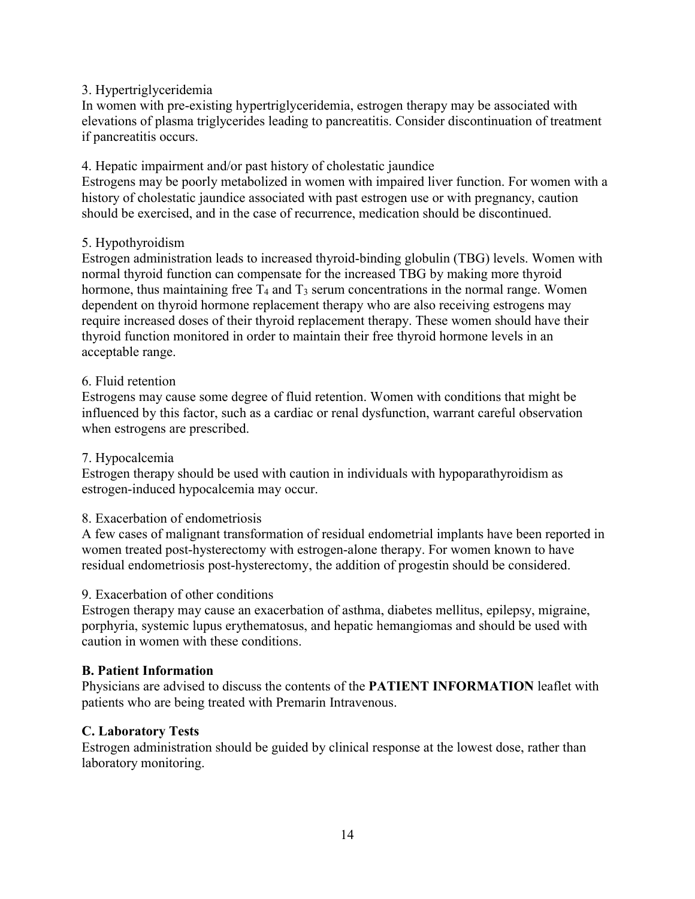### 3. Hypertriglyceridemia

In women with pre-existing hypertriglyceridemia, estrogen therapy may be associated with elevations of plasma triglycerides leading to pancreatitis. Consider discontinuation of treatment if pancreatitis occurs.

#### 4. Hepatic impairment and/or past history of cholestatic jaundice

Estrogens may be poorly metabolized in women with impaired liver function. For women with a history of cholestatic jaundice associated with past estrogen use or with pregnancy, caution should be exercised, and in the case of recurrence, medication should be discontinued.

#### 5. Hypothyroidism

Estrogen administration leads to increased thyroid-binding globulin (TBG) levels. Women with normal thyroid function can compensate for the increased TBG by making more thyroid hormone, thus maintaining free  $T_4$  and  $T_3$  serum concentrations in the normal range. Women dependent on thyroid hormone replacement therapy who are also receiving estrogens may require increased doses of their thyroid replacement therapy. These women should have their thyroid function monitored in order to maintain their free thyroid hormone levels in an acceptable range.

### 6. Fluid retention

Estrogens may cause some degree of fluid retention. Women with conditions that might be influenced by this factor, such as a cardiac or renal dysfunction, warrant careful observation when estrogens are prescribed.

## 7. Hypocalcemia

Estrogen therapy should be used with caution in individuals with hypoparathyroidism as estrogen-induced hypocalcemia may occur.

## 8. Exacerbation of endometriosis

A few cases of malignant transformation of residual endometrial implants have been reported in women treated post-hysterectomy with estrogen-alone therapy. For women known to have residual endometriosis post-hysterectomy, the addition of progestin should be considered.

#### 9. Exacerbation of other conditions

Estrogen therapy may cause an exacerbation of asthma, diabetes mellitus, epilepsy, migraine, porphyria, systemic lupus erythematosus, and hepatic hemangiomas and should be used with caution in women with these conditions.

## **B. Patient Information**

Physicians are advised to discuss the contents of the **PATIENT INFORMATION** leaflet with patients who are being treated with Premarin Intravenous.

#### **C. Laboratory Tests**

Estrogen administration should be guided by clinical response at the lowest dose, rather than laboratory monitoring.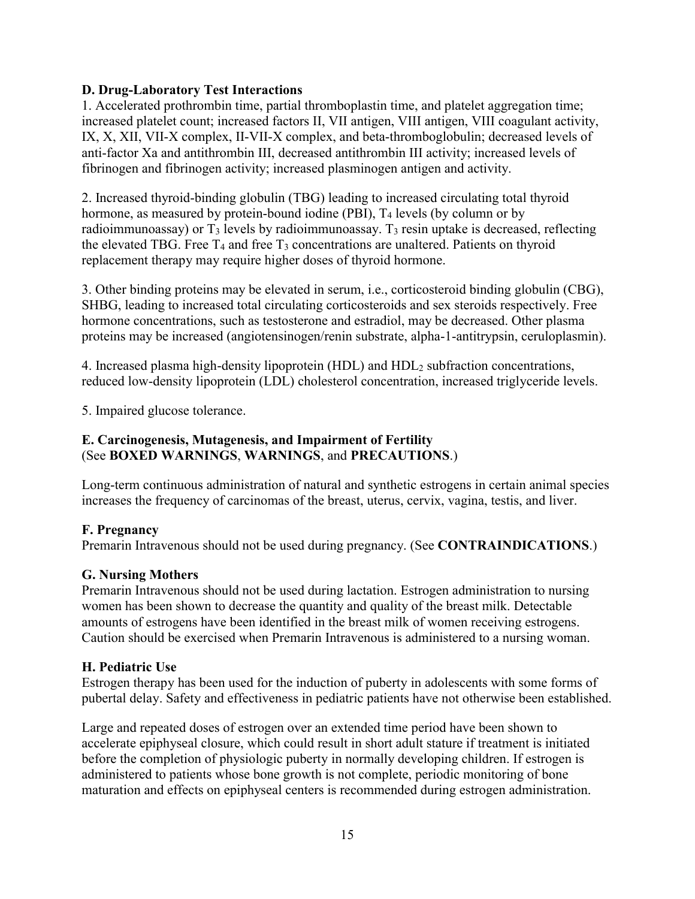## **D. Drug-Laboratory Test Interactions**

1. Accelerated prothrombin time, partial thromboplastin time, and platelet aggregation time; increased platelet count; increased factors II, VII antigen, VIII antigen, VIII coagulant activity, IX, X, XII, VII-X complex, II-VII-X complex, and beta-thromboglobulin; decreased levels of anti-factor Xa and antithrombin III, decreased antithrombin III activity; increased levels of fibrinogen and fibrinogen activity; increased plasminogen antigen and activity.

2. Increased thyroid-binding globulin (TBG) leading to increased circulating total thyroid hormone, as measured by protein-bound iodine (PBI),  $T_4$  levels (by column or by radioimmunoassay) or  $T_3$  levels by radioimmunoassay.  $T_3$  resin uptake is decreased, reflecting the elevated TBG. Free  $T_4$  and free  $T_3$  concentrations are unaltered. Patients on thyroid replacement therapy may require higher doses of thyroid hormone.

3. Other binding proteins may be elevated in serum, i.e., corticosteroid binding globulin (CBG), SHBG, leading to increased total circulating corticosteroids and sex steroids respectively. Free hormone concentrations, such as testosterone and estradiol, may be decreased. Other plasma proteins may be increased (angiotensinogen/renin substrate, alpha-1-antitrypsin, ceruloplasmin).

4. Increased plasma high-density lipoprotein (HDL) and HDL<sup>2</sup> subfraction concentrations, reduced low-density lipoprotein (LDL) cholesterol concentration, increased triglyceride levels.

5. Impaired glucose tolerance.

### **E. Carcinogenesis, Mutagenesis, and Impairment of Fertility**  (See **BOXED WARNINGS**, **WARNINGS**, and **PRECAUTIONS**.)

Long-term continuous administration of natural and synthetic estrogens in certain animal species increases the frequency of carcinomas of the breast, uterus, cervix, vagina, testis, and liver.

## **F. Pregnancy**

Premarin Intravenous should not be used during pregnancy. (See **CONTRAINDICATIONS**.)

## **G. Nursing Mothers**

Premarin Intravenous should not be used during lactation. Estrogen administration to nursing women has been shown to decrease the quantity and quality of the breast milk. Detectable amounts of estrogens have been identified in the breast milk of women receiving estrogens. Caution should be exercised when Premarin Intravenous is administered to a nursing woman.

#### **H. Pediatric Use**

Estrogen therapy has been used for the induction of puberty in adolescents with some forms of pubertal delay. Safety and effectiveness in pediatric patients have not otherwise been established.

Large and repeated doses of estrogen over an extended time period have been shown to accelerate epiphyseal closure, which could result in short adult stature if treatment is initiated before the completion of physiologic puberty in normally developing children. If estrogen is administered to patients whose bone growth is not complete, periodic monitoring of bone maturation and effects on epiphyseal centers is recommended during estrogen administration.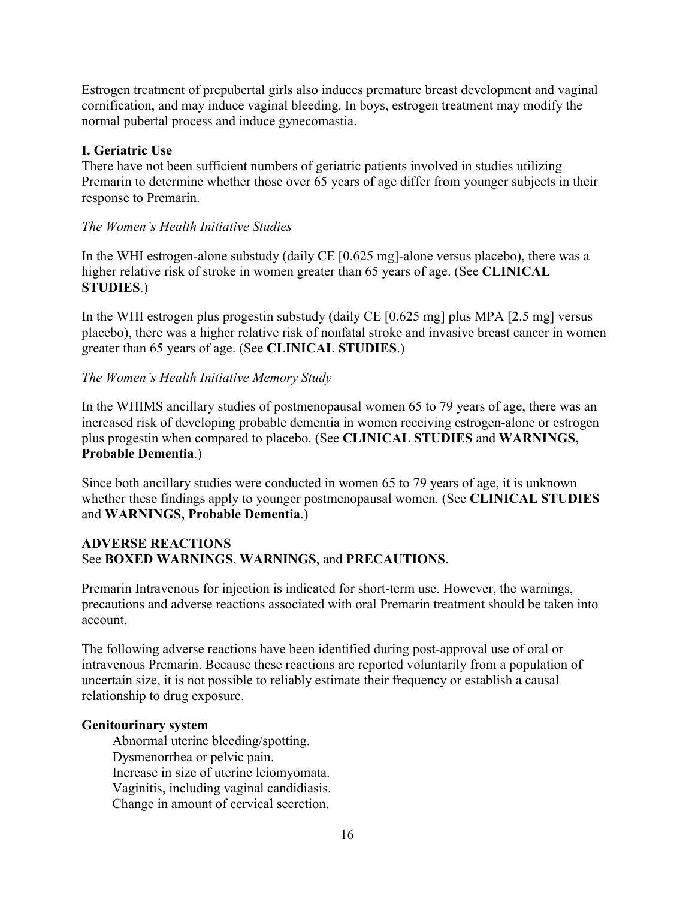Estrogen treatment of prepubertal girls also induces premature breast development and vaginal cornification, and may induce vaginal bleeding. In boys, estrogen treatment may modify the normal pubertal process and induce gynecomastia.

### **I. Geriatric Use**

There have not been sufficient numbers of geriatric patients involved in studies utilizing Premarin to determine whether those over 65 years of age differ from younger subjects in their response to Premarin.

### *The Women's Health Initiative Studies*

In the WHI estrogen-alone substudy (daily CE [0.625 mg]-alone versus placebo), there was a higher relative risk of stroke in women greater than 65 years of age. (See **CLINICAL STUDIES**.)

In the WHI estrogen plus progestin substudy (daily CE [0.625 mg] plus MPA [2.5 mg] versus placebo), there was a higher relative risk of nonfatal stroke and invasive breast cancer in women greater than 65 years of age. (See **CLINICAL STUDIES**.)

### *The Women's Health Initiative Memory Study*

In the WHIMS ancillary studies of postmenopausal women 65 to 79 years of age, there was an increased risk of developing probable dementia in women receiving estrogen-alone or estrogen plus progestin when compared to placebo. (See **CLINICAL STUDIES** and **WARNINGS, Probable Dementia**.)

Since both ancillary studies were conducted in women 65 to 79 years of age, it is unknown whether these findings apply to younger postmenopausal women. (See **CLINICAL STUDIES** and **WARNINGS, Probable Dementia**.)

### **ADVERSE REACTIONS**  See **BOXED WARNINGS**, **WARNINGS**, and **PRECAUTIONS**.

Premarin Intravenous for injection is indicated for short-term use. However, the warnings, precautions and adverse reactions associated with oral Premarin treatment should be taken into account.

The following adverse reactions have been identified during post-approval use of oral or intravenous Premarin. Because these reactions are reported voluntarily from a population of uncertain size, it is not possible to reliably estimate their frequency or establish a causal relationship to drug exposure.

#### **Genitourinary system**

 Abnormal uterine bleeding/spotting. Dysmenorrhea or pelvic pain. Increase in size of uterine leiomyomata. Vaginitis, including vaginal candidiasis. Change in amount of cervical secretion.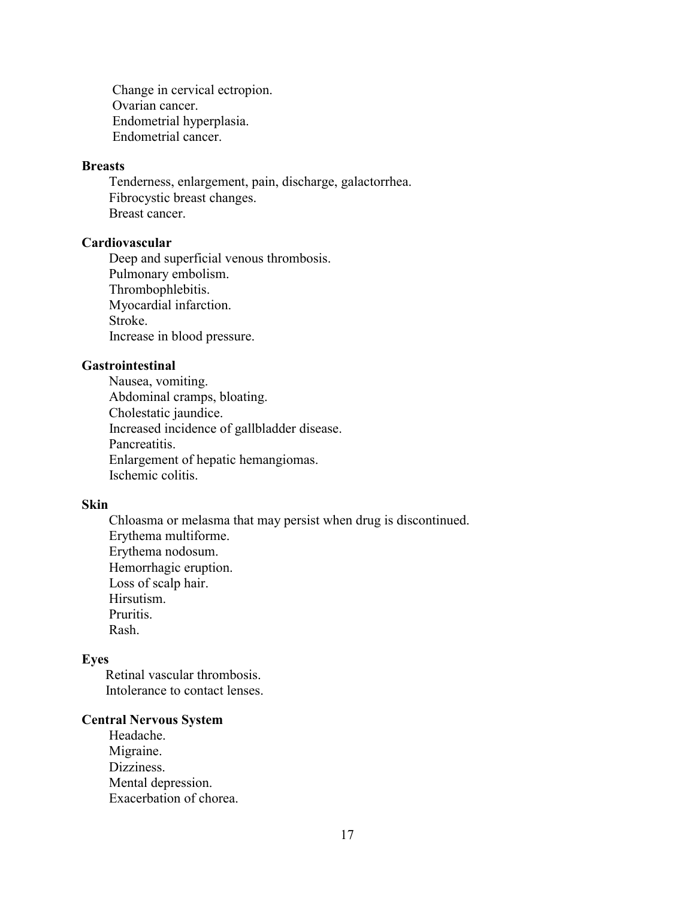Change in cervical ectropion. Ovarian cancer. Endometrial hyperplasia. Endometrial cancer.

#### **Breasts**

 Tenderness, enlargement, pain, discharge, galactorrhea. Fibrocystic breast changes. Breast cancer.

#### **Cardiovascular**

 Deep and superficial venous thrombosis. Pulmonary embolism. Thrombophlebitis. Myocardial infarction. Stroke. Increase in blood pressure.

#### **Gastrointestinal**

 Nausea, vomiting. Abdominal cramps, bloating. Cholestatic jaundice. Increased incidence of gallbladder disease. Pancreatitis. Enlargement of hepatic hemangiomas. Ischemic colitis.

#### **Skin**

 Chloasma or melasma that may persist when drug is discontinued. Erythema multiforme. Erythema nodosum. Hemorrhagic eruption. Loss of scalp hair. Hirsutism. Pruritis. Rash.

#### **Eyes**

 Retinal vascular thrombosis. Intolerance to contact lenses.

#### **Central Nervous System**

 Headache. Migraine. Dizziness. Mental depression. Exacerbation of chorea.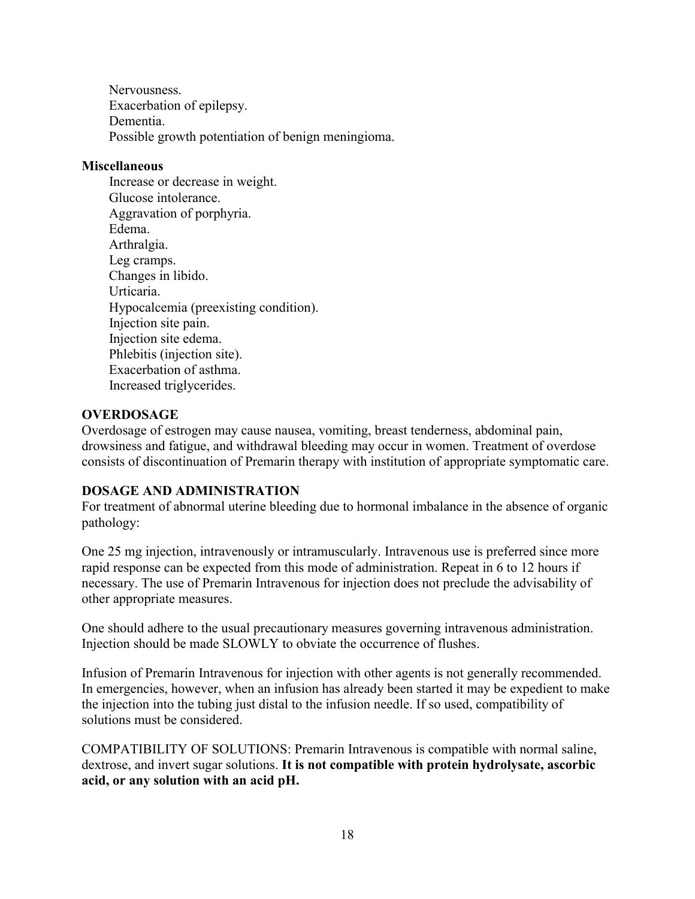Nervousness. Exacerbation of epilepsy. Dementia. Possible growth potentiation of benign meningioma.

#### **Miscellaneous**

 Increase or decrease in weight. Glucose intolerance. Aggravation of porphyria. Edema. Arthralgia. Leg cramps. Changes in libido. Urticaria. Hypocalcemia (preexisting condition). Injection site pain. Injection site edema. Phlebitis (injection site). Exacerbation of asthma. Increased triglycerides.

## **OVERDOSAGE**

Overdosage of estrogen may cause nausea, vomiting, breast tenderness, abdominal pain, drowsiness and fatigue, and withdrawal bleeding may occur in women. Treatment of overdose consists of discontinuation of Premarin therapy with institution of appropriate symptomatic care.

#### **DOSAGE AND ADMINISTRATION**

For treatment of abnormal uterine bleeding due to hormonal imbalance in the absence of organic pathology:

One 25 mg injection, intravenously or intramuscularly. Intravenous use is preferred since more rapid response can be expected from this mode of administration. Repeat in 6 to 12 hours if necessary. The use of Premarin Intravenous for injection does not preclude the advisability of other appropriate measures.

One should adhere to the usual precautionary measures governing intravenous administration. Injection should be made SLOWLY to obviate the occurrence of flushes.

Infusion of Premarin Intravenous for injection with other agents is not generally recommended. In emergencies, however, when an infusion has already been started it may be expedient to make the injection into the tubing just distal to the infusion needle. If so used, compatibility of solutions must be considered.

COMPATIBILITY OF SOLUTIONS: Premarin Intravenous is compatible with normal saline, dextrose, and invert sugar solutions. **It is not compatible with protein hydrolysate, ascorbic acid, or any solution with an acid pH.**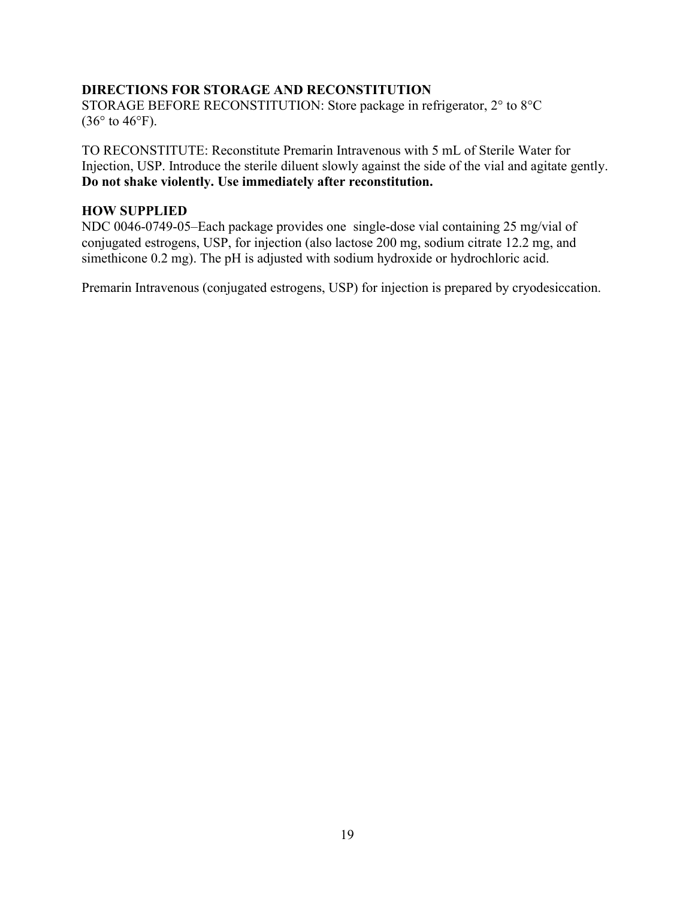#### **DIRECTIONS FOR STORAGE AND RECONSTITUTION**

STORAGE BEFORE RECONSTITUTION: Store package in refrigerator, 2° to 8°C  $(36^{\circ}$  to  $46^{\circ}$ F).

TO RECONSTITUTE: Reconstitute Premarin Intravenous with 5 mL of Sterile Water for Injection, USP. Introduce the sterile diluent slowly against the side of the vial and agitate gently. **Do not shake violently. Use immediately after reconstitution.** 

#### **HOW SUPPLIED**

NDC 0046-0749-05–Each package provides one single-dose vial containing 25 mg/vial of conjugated estrogens, USP, for injection (also lactose 200 mg, sodium citrate 12.2 mg, and simethicone 0.2 mg). The pH is adjusted with sodium hydroxide or hydrochloric acid.

Premarin Intravenous (conjugated estrogens, USP) for injection is prepared by cryodesiccation.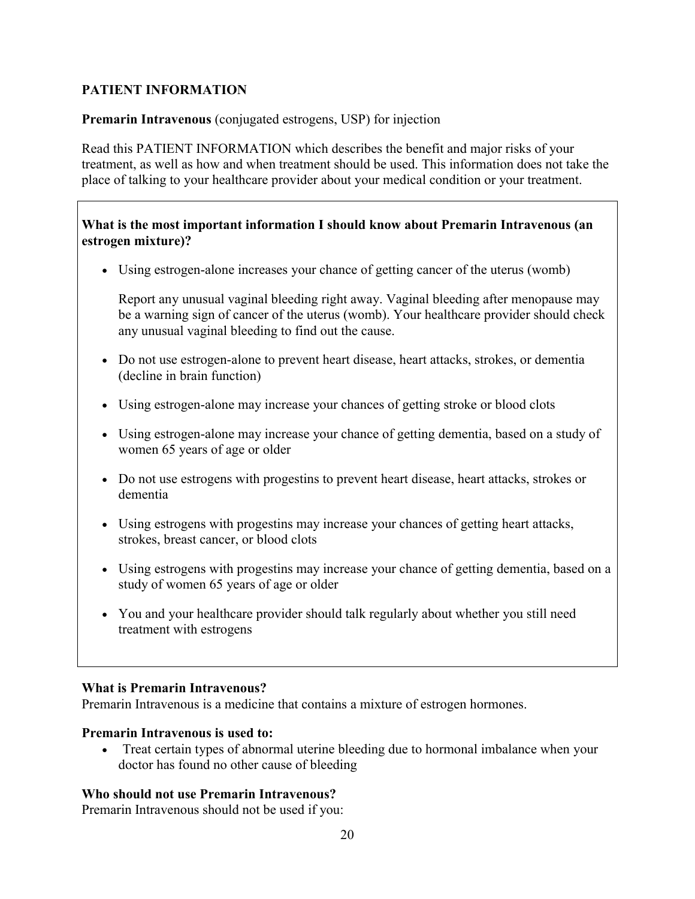# **PATIENT INFORMATION**

### **Premarin Intravenous** (conjugated estrogens, USP) for injection

Read this PATIENT INFORMATION which describes the benefit and major risks of your treatment, as well as how and when treatment should be used. This information does not take the place of talking to your healthcare provider about your medical condition or your treatment.

### **What is the most important information I should know about Premarin Intravenous (an estrogen mixture)?**

Using estrogen-alone increases your chance of getting cancer of the uterus (womb)

Report any unusual vaginal bleeding right away. Vaginal bleeding after menopause may be a warning sign of cancer of the uterus (womb). Your healthcare provider should check any unusual vaginal bleeding to find out the cause.

- Do not use estrogen-alone to prevent heart disease, heart attacks, strokes, or dementia (decline in brain function)
- Using estrogen-alone may increase your chances of getting stroke or blood clots
- Using estrogen-alone may increase your chance of getting dementia, based on a study of women 65 years of age or older
- Do not use estrogens with progestins to prevent heart disease, heart attacks, strokes or dementia
- Using estrogens with progestins may increase your chances of getting heart attacks, strokes, breast cancer, or blood clots
- Using estrogens with progestins may increase your chance of getting dementia, based on a study of women 65 years of age or older
- You and your healthcare provider should talk regularly about whether you still need treatment with estrogens

#### **What is Premarin Intravenous?**

Premarin Intravenous is a medicine that contains a mixture of estrogen hormones.

#### **Premarin Intravenous is used to:**

 Treat certain types of abnormal uterine bleeding due to hormonal imbalance when your doctor has found no other cause of bleeding

## **Who should not use Premarin Intravenous?**

Premarin Intravenous should not be used if you: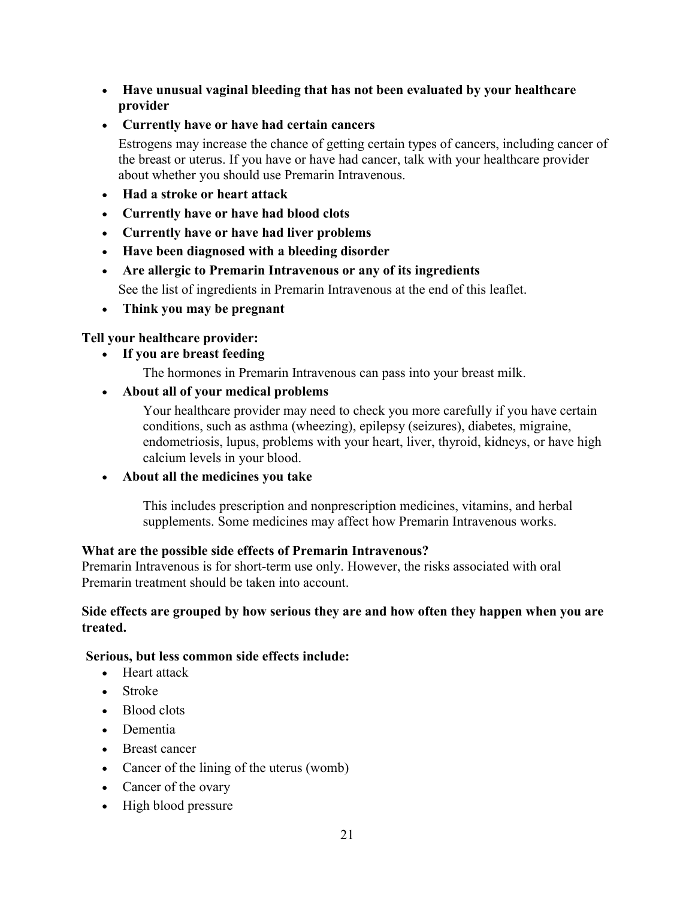- **Have unusual vaginal bleeding that has not been evaluated by your healthcare provider**
- **Currently have or have had certain cancers**

Estrogens may increase the chance of getting certain types of cancers, including cancer of the breast or uterus. If you have or have had cancer, talk with your healthcare provider about whether you should use Premarin Intravenous.

- **Had a stroke or heart attack**
- **Currently have or have had blood clots**
- **Currently have or have had liver problems**
- **Have been diagnosed with a bleeding disorder**
- **Are allergic to Premarin Intravenous or any of its ingredients**

See the list of ingredients in Premarin Intravenous at the end of this leaflet.

**Think you may be pregnant**

# **Tell your healthcare provider:**

- **If you are breast feeding**
	- The hormones in Premarin Intravenous can pass into your breast milk.
- **About all of your medical problems**

Your healthcare provider may need to check you more carefully if you have certain conditions, such as asthma (wheezing), epilepsy (seizures), diabetes, migraine, endometriosis, lupus, problems with your heart, liver, thyroid, kidneys, or have high calcium levels in your blood.

**About all the medicines you take**

This includes prescription and nonprescription medicines, vitamins, and herbal supplements. Some medicines may affect how Premarin Intravenous works.

## **What are the possible side effects of Premarin Intravenous?**

Premarin Intravenous is for short-term use only. However, the risks associated with oral Premarin treatment should be taken into account.

### **Side effects are grouped by how serious they are and how often they happen when you are treated.**

## **Serious, but less common side effects include:**

- Heart attack
- Stroke
- Blood clots
- Dementia
- Breast cancer
- Cancer of the lining of the uterus (womb)
- Cancer of the ovary
- High blood pressure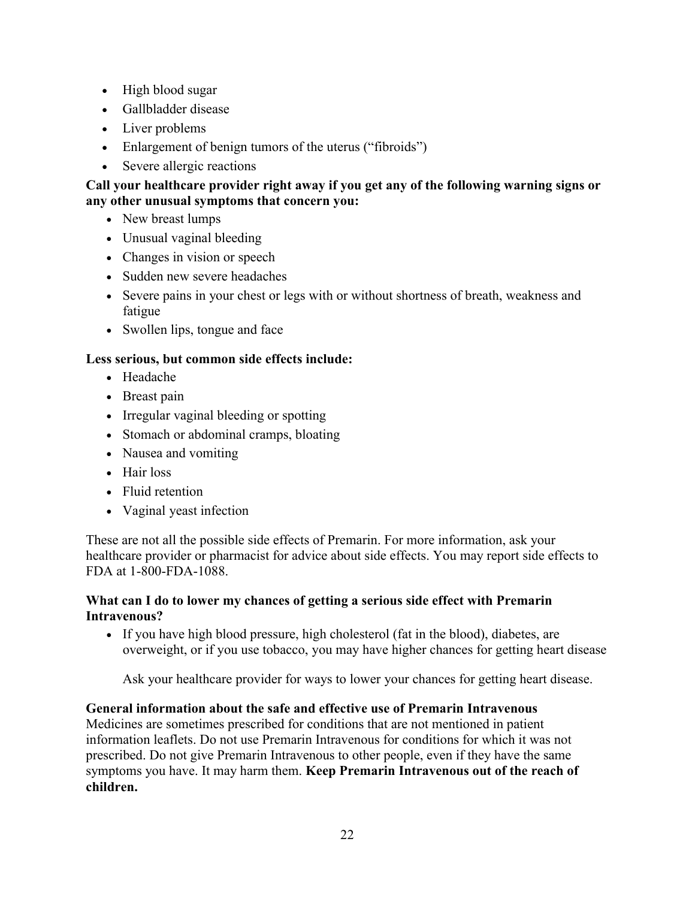- High blood sugar
- Gallbladder disease
- Liver problems
- Enlargement of benign tumors of the uterus ("fibroids")
- Severe allergic reactions

## **Call your healthcare provider right away if you get any of the following warning signs or any other unusual symptoms that concern you:**

- New breast lumps
- Unusual vaginal bleeding
- Changes in vision or speech
- Sudden new severe headaches
- Severe pains in your chest or legs with or without shortness of breath, weakness and fatigue
- Swollen lips, tongue and face

## **Less serious, but common side effects include:**

- Headache
- Breast pain
- Irregular vaginal bleeding or spotting
- Stomach or abdominal cramps, bloating
- Nausea and vomiting
- Hair loss
- Fluid retention
- Vaginal yeast infection

These are not all the possible side effects of Premarin. For more information, ask your healthcare provider or pharmacist for advice about side effects. You may report side effects to FDA at 1-800-FDA-1088.

## **What can I do to lower my chances of getting a serious side effect with Premarin Intravenous?**

 If you have high blood pressure, high cholesterol (fat in the blood), diabetes, are overweight, or if you use tobacco, you may have higher chances for getting heart disease

Ask your healthcare provider for ways to lower your chances for getting heart disease.

## **General information about the safe and effective use of Premarin Intravenous**

Medicines are sometimes prescribed for conditions that are not mentioned in patient information leaflets. Do not use Premarin Intravenous for conditions for which it was not prescribed. Do not give Premarin Intravenous to other people, even if they have the same symptoms you have. It may harm them. **Keep Premarin Intravenous out of the reach of children.**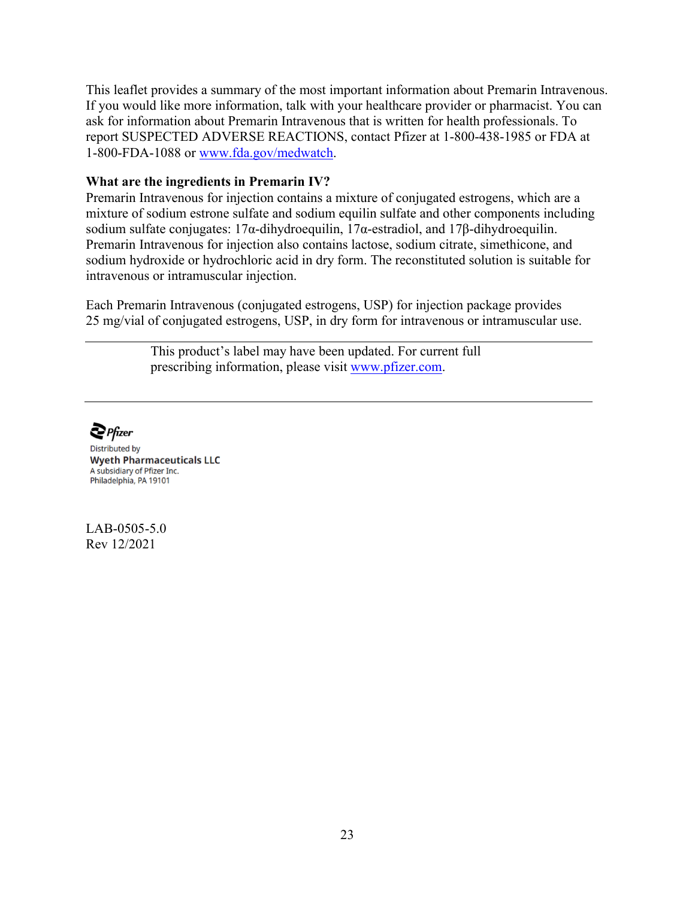This leaflet provides a summary of the most important information about Premarin Intravenous. If you would like more information, talk with your healthcare provider or pharmacist. You can ask for information about Premarin Intravenous that is written for health professionals. To report SUSPECTED ADVERSE REACTIONS, contact Pfizer at 1-800-438-1985 or FDA at 1-800-FDA-1088 or [www.fda.gov/medwatch.](http://www.fda.gov/medwatch)

#### **What are the ingredients in Premarin IV?**

Premarin Intravenous for injection contains a mixture of conjugated estrogens, which are a mixture of sodium estrone sulfate and sodium equilin sulfate and other components including sodium sulfate conjugates: 17α-dihydroequilin, 17α-estradiol, and 17β-dihydroequilin. Premarin Intravenous for injection also contains lactose, sodium citrate, simethicone, and sodium hydroxide or hydrochloric acid in dry form. The reconstituted solution is suitable for intravenous or intramuscular injection.

Each Premarin Intravenous (conjugated estrogens, USP) for injection package provides 25 mg/vial of conjugated estrogens, USP, in dry form for intravenous or intramuscular use.

> This product's label may have been updated. For current full prescribing information, please visit [www.pfizer.com.](http://www.pfizer.com/)

 $\sum$  Pfizer

**Distributed by Wyeth Pharmaceuticals LLC** A subsidiary of Pfizer Inc. Philadelphia, PA 19101

LAB-0505-5.0 Rev 12/2021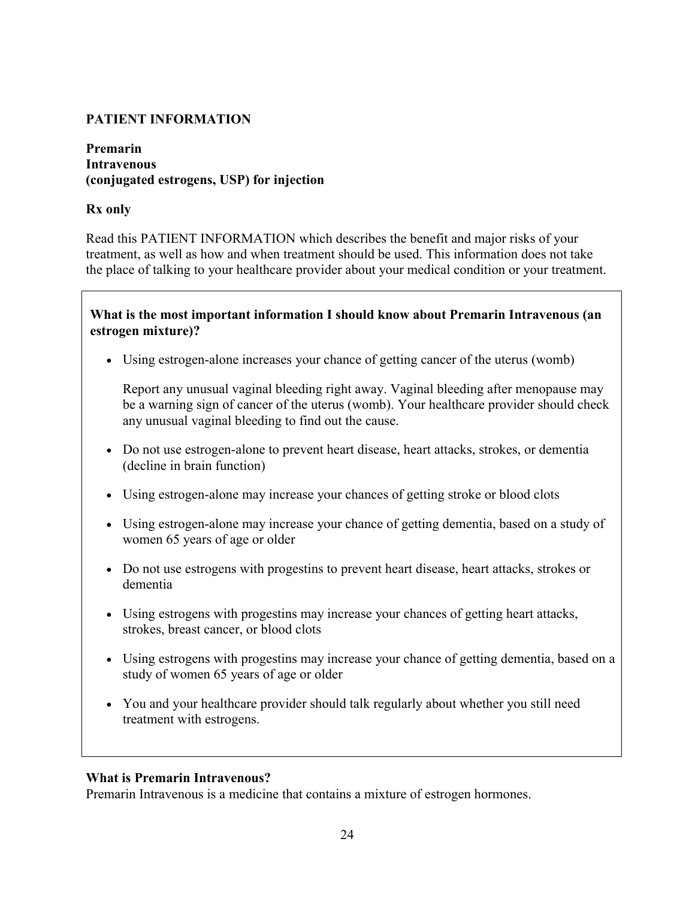## **PATIENT INFORMATION**

#### **Premarin Intravenous (conjugated estrogens, USP) for injection**

### **Rx only**

Read this PATIENT INFORMATION which describes the benefit and major risks of your treatment, as well as how and when treatment should be used. This information does not take the place of talking to your healthcare provider about your medical condition or your treatment.

## **What is the most important information I should know about Premarin Intravenous (an estrogen mixture)?**

Using estrogen-alone increases your chance of getting cancer of the uterus (womb)

Report any unusual vaginal bleeding right away. Vaginal bleeding after menopause may be a warning sign of cancer of the uterus (womb). Your healthcare provider should check any unusual vaginal bleeding to find out the cause.

- Do not use estrogen-alone to prevent heart disease, heart attacks, strokes, or dementia (decline in brain function)
- Using estrogen-alone may increase your chances of getting stroke or blood clots
- Using estrogen-alone may increase your chance of getting dementia, based on a study of women 65 years of age or older
- Do not use estrogens with progestins to prevent heart disease, heart attacks, strokes or dementia
- Using estrogens with progestins may increase your chances of getting heart attacks, strokes, breast cancer, or blood clots
- Using estrogens with progestins may increase your chance of getting dementia, based on a study of women 65 years of age or older
- You and your healthcare provider should talk regularly about whether you still need treatment with estrogens.

#### **What is Premarin Intravenous?**

Premarin Intravenous is a medicine that contains a mixture of estrogen hormones.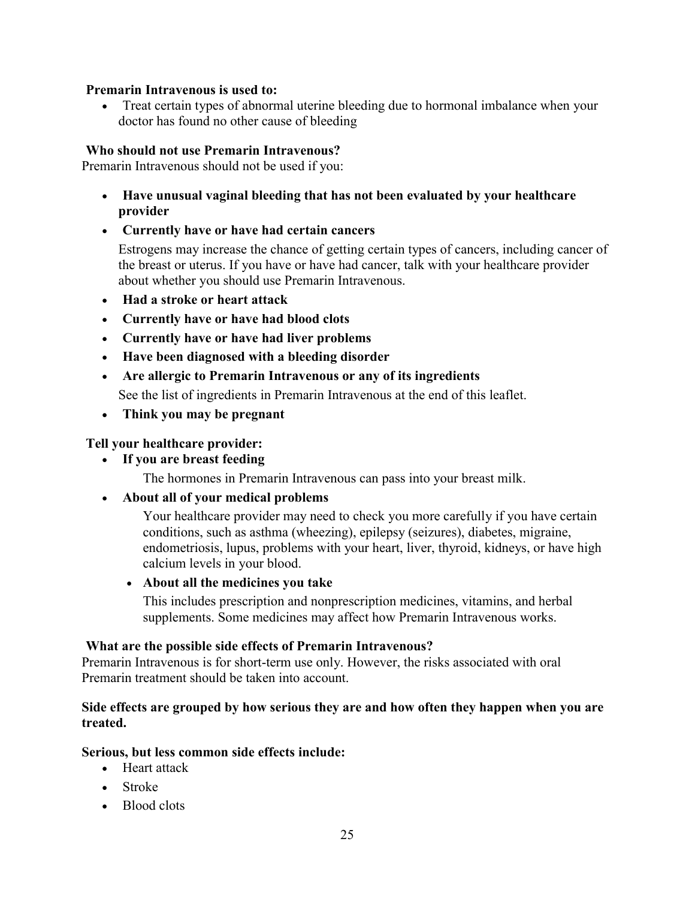#### **Premarin Intravenous is used to:**

 Treat certain types of abnormal uterine bleeding due to hormonal imbalance when your doctor has found no other cause of bleeding

### **Who should not use Premarin Intravenous?**

Premarin Intravenous should not be used if you:

- **Have unusual vaginal bleeding that has not been evaluated by your healthcare provider**
- **Currently have or have had certain cancers**

Estrogens may increase the chance of getting certain types of cancers, including cancer of the breast or uterus. If you have or have had cancer, talk with your healthcare provider about whether you should use Premarin Intravenous.

- **Had a stroke or heart attack**
- **Currently have or have had blood clots**
- **Currently have or have had liver problems**
- **Have been diagnosed with a bleeding disorder**
- **Are allergic to Premarin Intravenous or any of its ingredients**

See the list of ingredients in Premarin Intravenous at the end of this leaflet.

**Think you may be pregnant**

### **Tell your healthcare provider:**

**If you are breast feeding**

The hormones in Premarin Intravenous can pass into your breast milk.

**About all of your medical problems**

Your healthcare provider may need to check you more carefully if you have certain conditions, such as asthma (wheezing), epilepsy (seizures), diabetes, migraine, endometriosis, lupus, problems with your heart, liver, thyroid, kidneys, or have high calcium levels in your blood.

#### **About all the medicines you take**

This includes prescription and nonprescription medicines, vitamins, and herbal supplements. Some medicines may affect how Premarin Intravenous works.

#### **What are the possible side effects of Premarin Intravenous?**

Premarin Intravenous is for short-term use only. However, the risks associated with oral Premarin treatment should be taken into account.

#### **Side effects are grouped by how serious they are and how often they happen when you are treated.**

#### **Serious, but less common side effects include:**

- Heart attack
- Stroke
- Blood clots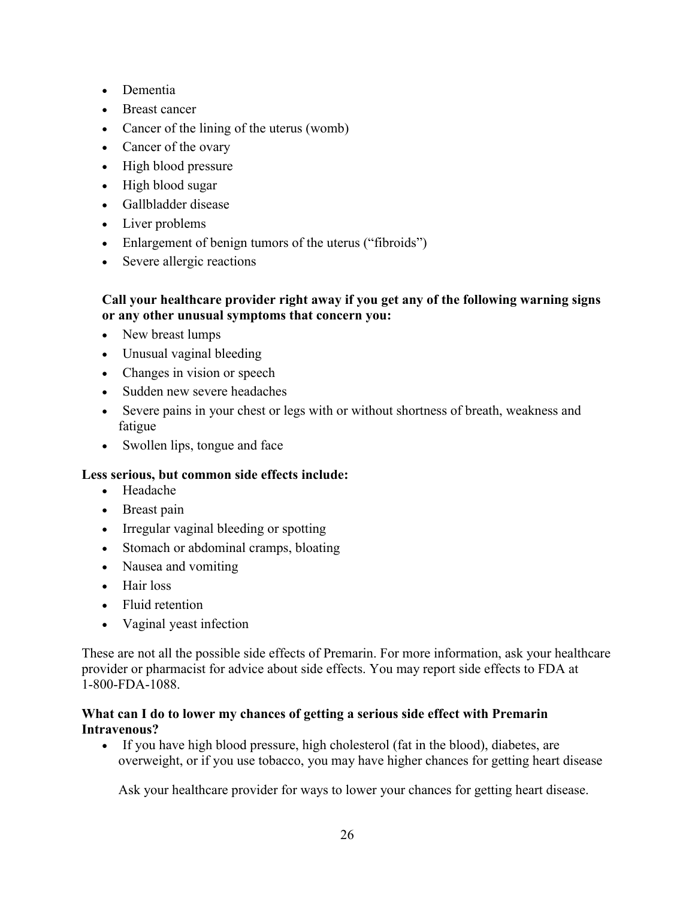- Dementia
- Breast cancer
- Cancer of the lining of the uterus (womb)
- Cancer of the ovary
- High blood pressure
- High blood sugar
- Gallbladder disease
- Liver problems
- Enlargement of benign tumors of the uterus ("fibroids")
- Severe allergic reactions

# **Call your healthcare provider right away if you get any of the following warning signs or any other unusual symptoms that concern you:**

- New breast lumps
- Unusual vaginal bleeding
- Changes in vision or speech
- Sudden new severe headaches
- Severe pains in your chest or legs with or without shortness of breath, weakness and fatigue
- Swollen lips, tongue and face

## **Less serious, but common side effects include:**

- Headache
- Breast pain
- Irregular vaginal bleeding or spotting
- Stomach or abdominal cramps, bloating
- Nausea and vomiting
- Hair loss
- Fluid retention
- Vaginal yeast infection

These are not all the possible side effects of Premarin. For more information, ask your healthcare provider or pharmacist for advice about side effects. You may report side effects to FDA at 1-800-FDA-1088.

### **What can I do to lower my chances of getting a serious side effect with Premarin Intravenous?**

 If you have high blood pressure, high cholesterol (fat in the blood), diabetes, are overweight, or if you use tobacco, you may have higher chances for getting heart disease

Ask your healthcare provider for ways to lower your chances for getting heart disease.